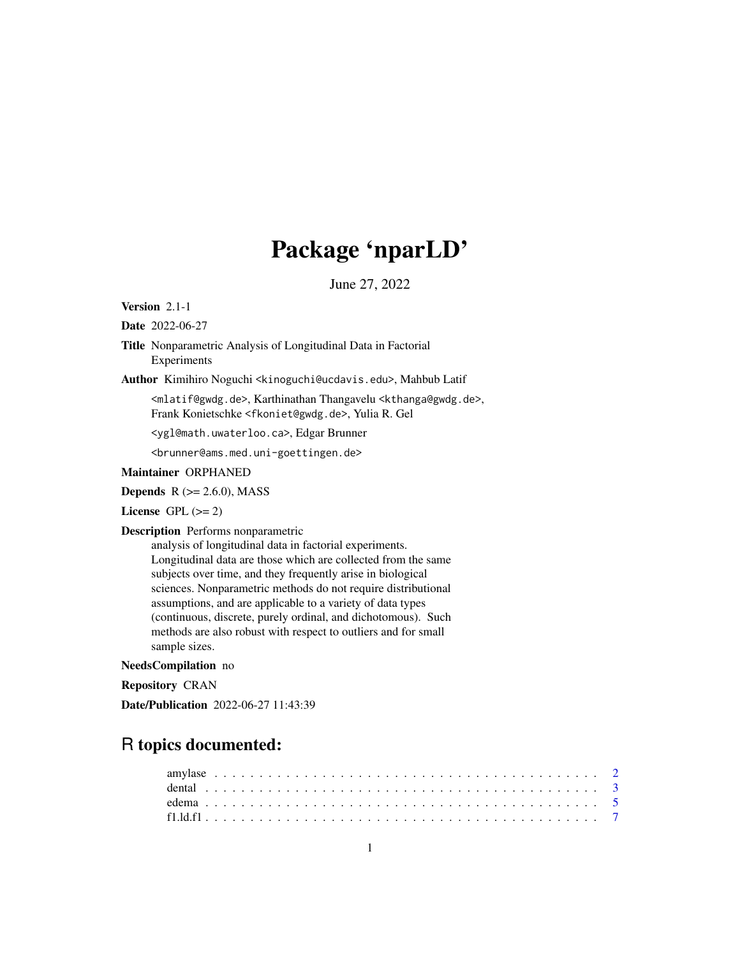## Package 'nparLD'

June 27, 2022

<span id="page-0-0"></span>Version 2.1-1

Date 2022-06-27

Title Nonparametric Analysis of Longitudinal Data in Factorial Experiments

Author Kimihiro Noguchi <kinoguchi@ucdavis.edu>, Mahbub Latif

<mlatif@gwdg.de>, Karthinathan Thangavelu <kthanga@gwdg.de>, Frank Konietschke <fkoniet@gwdg.de>, Yulia R. Gel

<ygl@math.uwaterloo.ca>, Edgar Brunner

<brunner@ams.med.uni-goettingen.de>

Maintainer ORPHANED

**Depends**  $R$  ( $>= 2.6.0$ ), MASS

License GPL  $(>= 2)$ 

Description Performs nonparametric

analysis of longitudinal data in factorial experiments. Longitudinal data are those which are collected from the same subjects over time, and they frequently arise in biological sciences. Nonparametric methods do not require distributional assumptions, and are applicable to a variety of data types (continuous, discrete, purely ordinal, and dichotomous). Such methods are also robust with respect to outliers and for small sample sizes.

NeedsCompilation no

Repository CRAN

Date/Publication 2022-06-27 11:43:39

## R topics documented: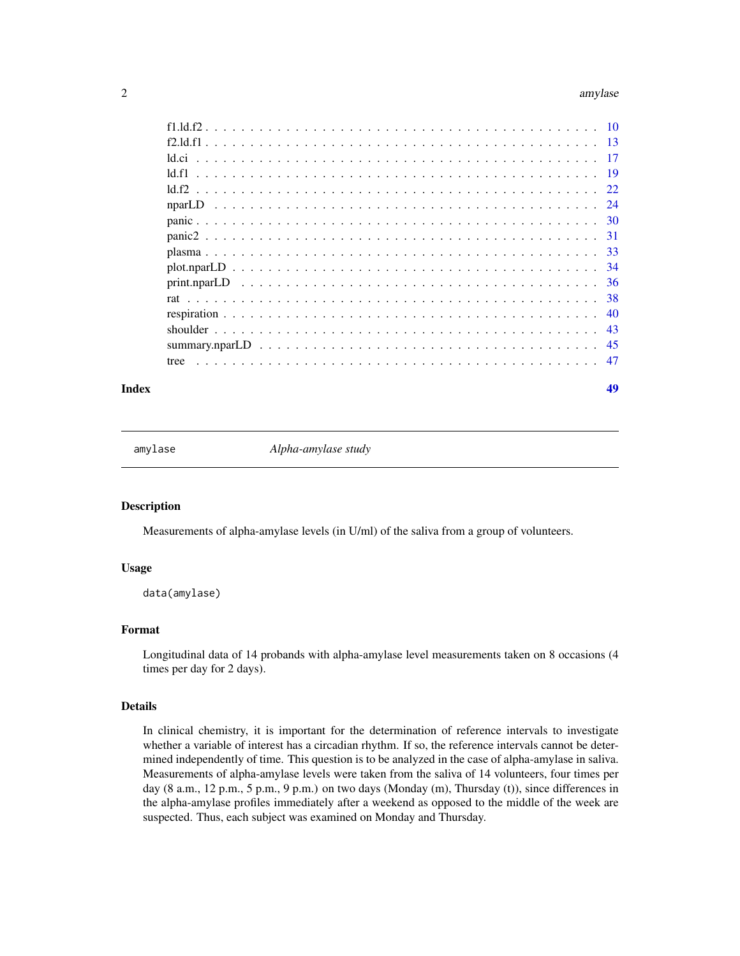#### <span id="page-1-0"></span>2 amylase and the state of the state of the state of the state of the state of the state of the state of the state of the state of the state of the state of the state of the state of the state of the state of the state of

#### **Index a** set of the contract of the contract of the contract of the contract of the contract of the contract of the contract of the contract of the contract of the contract of the contract of the contract of the contrac

<span id="page-1-1"></span>

amylase *Alpha-amylase study*

#### Description

Measurements of alpha-amylase levels (in U/ml) of the saliva from a group of volunteers.

## Usage

data(amylase)

## Format

Longitudinal data of 14 probands with alpha-amylase level measurements taken on 8 occasions (4 times per day for 2 days).

## Details

In clinical chemistry, it is important for the determination of reference intervals to investigate whether a variable of interest has a circadian rhythm. If so, the reference intervals cannot be determined independently of time. This question is to be analyzed in the case of alpha-amylase in saliva. Measurements of alpha-amylase levels were taken from the saliva of 14 volunteers, four times per day (8 a.m., 12 p.m., 5 p.m., 9 p.m.) on two days (Monday (m), Thursday (t)), since differences in the alpha-amylase profiles immediately after a weekend as opposed to the middle of the week are suspected. Thus, each subject was examined on Monday and Thursday.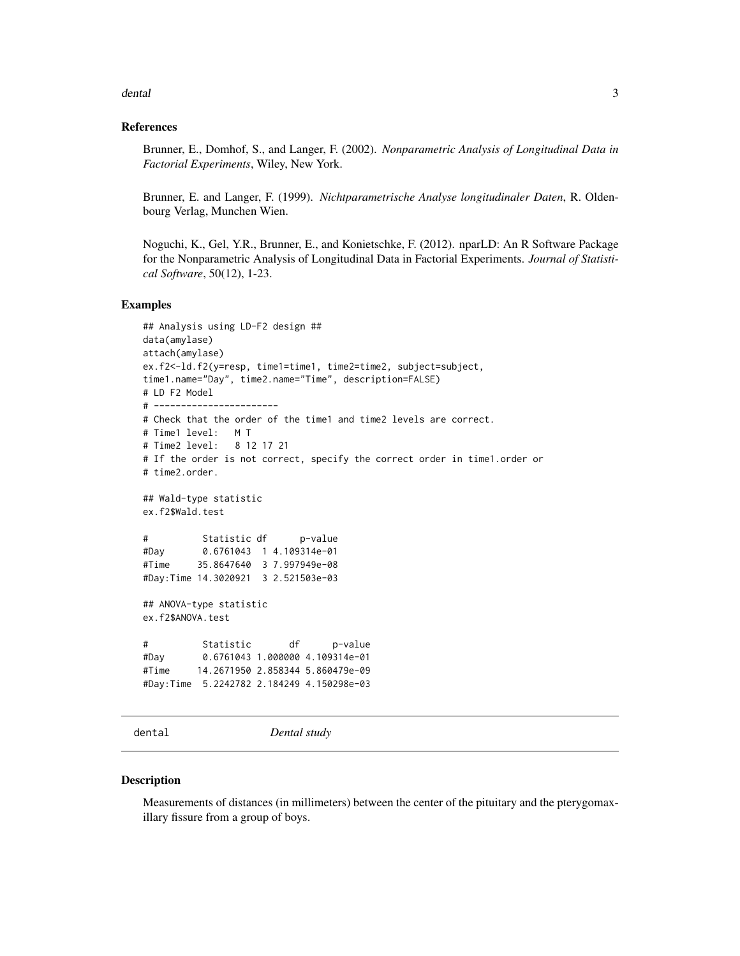<span id="page-2-0"></span>dental 3

#### References

Brunner, E., Domhof, S., and Langer, F. (2002). *Nonparametric Analysis of Longitudinal Data in Factorial Experiments*, Wiley, New York.

Brunner, E. and Langer, F. (1999). *Nichtparametrische Analyse longitudinaler Daten*, R. Oldenbourg Verlag, Munchen Wien.

Noguchi, K., Gel, Y.R., Brunner, E., and Konietschke, F. (2012). nparLD: An R Software Package for the Nonparametric Analysis of Longitudinal Data in Factorial Experiments. *Journal of Statistical Software*, 50(12), 1-23.

#### Examples

```
## Analysis using LD-F2 design ##
data(amylase)
attach(amylase)
ex.f2<-ld.f2(y=resp, time1=time1, time2=time2, subject=subject,
time1.name="Day", time2.name="Time", description=FALSE)
# LD F2 Model
# -----------------------
# Check that the order of the time1 and time2 levels are correct.
# Time1 level: M T
# Time2 level: 8 12 17 21
# If the order is not correct, specify the correct order in time1.order or
# time2.order.
## Wald-type statistic
ex.f2$Wald.test
# Statistic df p-value
#Day 0.6761043 1 4.109314e-01
#Time 35.8647640 3 7.997949e-08
#Day:Time 14.3020921 3 2.521503e-03
## ANOVA-type statistic
ex.f2$ANOVA.test
# Statistic df p-value
#Day 0.6761043 1.000000 4.109314e-01
#Time 14.2671950 2.858344 5.860479e-09
#Day:Time 5.2242782 2.184249 4.150298e-03
```
dental *Dental study*

#### Description

Measurements of distances (in millimeters) between the center of the pituitary and the pterygomaxillary fissure from a group of boys.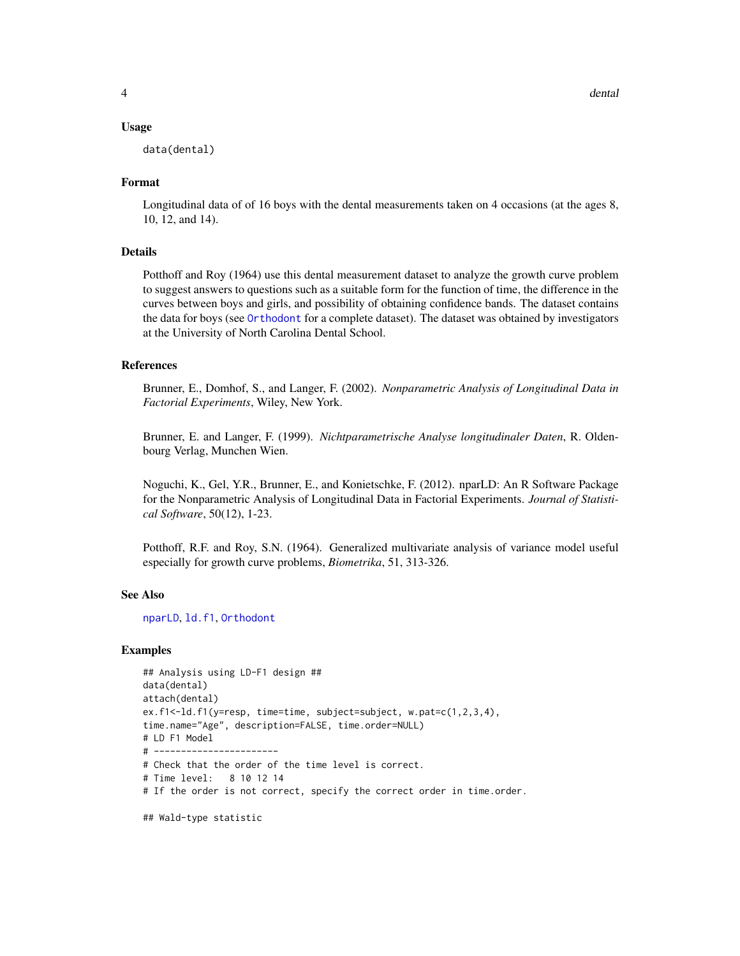#### <span id="page-3-0"></span>Usage

data(dental)

## Format

Longitudinal data of of 16 boys with the dental measurements taken on 4 occasions (at the ages 8, 10, 12, and 14).

## Details

Potthoff and Roy (1964) use this dental measurement dataset to analyze the growth curve problem to suggest answers to questions such as a suitable form for the function of time, the difference in the curves between boys and girls, and possibility of obtaining confidence bands. The dataset contains the data for boys (see [Orthodont](#page-0-0) for a complete dataset). The dataset was obtained by investigators at the University of North Carolina Dental School.

## References

Brunner, E., Domhof, S., and Langer, F. (2002). *Nonparametric Analysis of Longitudinal Data in Factorial Experiments*, Wiley, New York.

Brunner, E. and Langer, F. (1999). *Nichtparametrische Analyse longitudinaler Daten*, R. Oldenbourg Verlag, Munchen Wien.

Noguchi, K., Gel, Y.R., Brunner, E., and Konietschke, F. (2012). nparLD: An R Software Package for the Nonparametric Analysis of Longitudinal Data in Factorial Experiments. *Journal of Statistical Software*, 50(12), 1-23.

Potthoff, R.F. and Roy, S.N. (1964). Generalized multivariate analysis of variance model useful especially for growth curve problems, *Biometrika*, 51, 313-326.

## See Also

[nparLD](#page-23-1), [ld.f1](#page-18-1), [Orthodont](#page-0-0)

#### Examples

```
## Analysis using LD-F1 design ##
data(dental)
attach(dental)
ex.f1<-ld.f1(y=resp, time=time, subject=subject, w.pat=c(1,2,3,4),
time.name="Age", description=FALSE, time.order=NULL)
# LD F1 Model
# -----------------------
# Check that the order of the time level is correct.
# Time level: 8 10 12 14
# If the order is not correct, specify the correct order in time.order.
```
## Wald-type statistic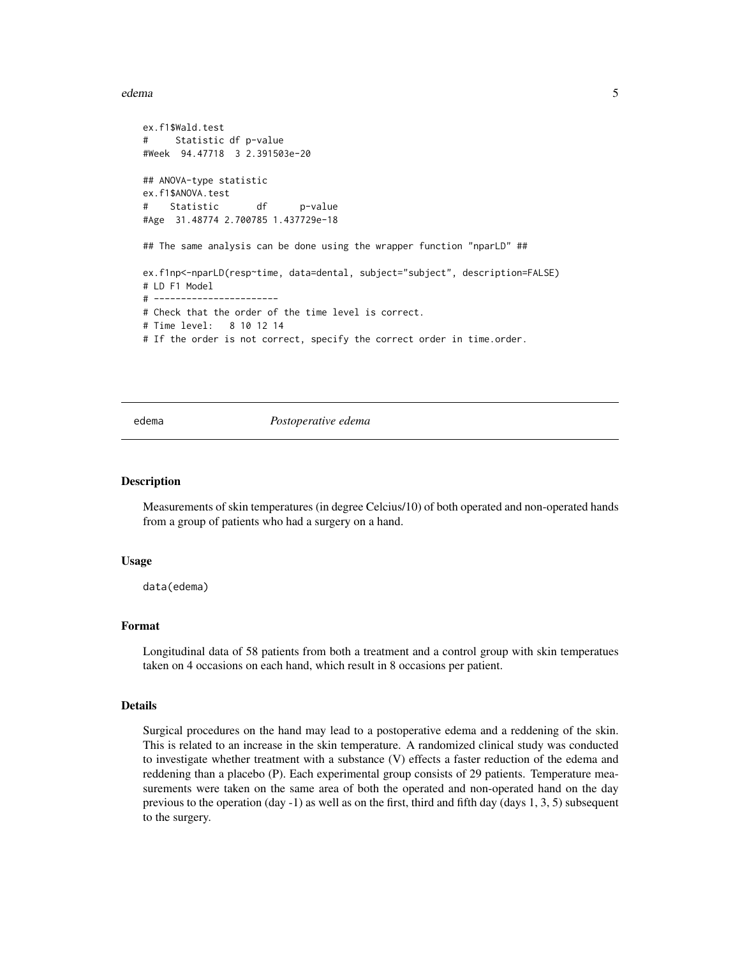#### <span id="page-4-0"></span>edema 5

```
ex.f1$Wald.test
# Statistic df p-value
#Week 94.47718 3 2.391503e-20
## ANOVA-type statistic
ex.f1$ANOVA.test
# Statistic df p-value
#Age 31.48774 2.700785 1.437729e-18
## The same analysis can be done using the wrapper function "nparLD" ##
ex.f1np<-nparLD(resp~time, data=dental, subject="subject", description=FALSE)
# LD F1 Model
# -----------------------
# Check that the order of the time level is correct.
# Time level: 8 10 12 14
# If the order is not correct, specify the correct order in time.order.
```
edema *Postoperative edema*

#### Description

Measurements of skin temperatures (in degree Celcius/10) of both operated and non-operated hands from a group of patients who had a surgery on a hand.

#### Usage

data(edema)

#### Format

Longitudinal data of 58 patients from both a treatment and a control group with skin temperatues taken on 4 occasions on each hand, which result in 8 occasions per patient.

#### Details

Surgical procedures on the hand may lead to a postoperative edema and a reddening of the skin. This is related to an increase in the skin temperature. A randomized clinical study was conducted to investigate whether treatment with a substance (V) effects a faster reduction of the edema and reddening than a placebo (P). Each experimental group consists of 29 patients. Temperature measurements were taken on the same area of both the operated and non-operated hand on the day previous to the operation (day -1) as well as on the first, third and fifth day (days 1, 3, 5) subsequent to the surgery.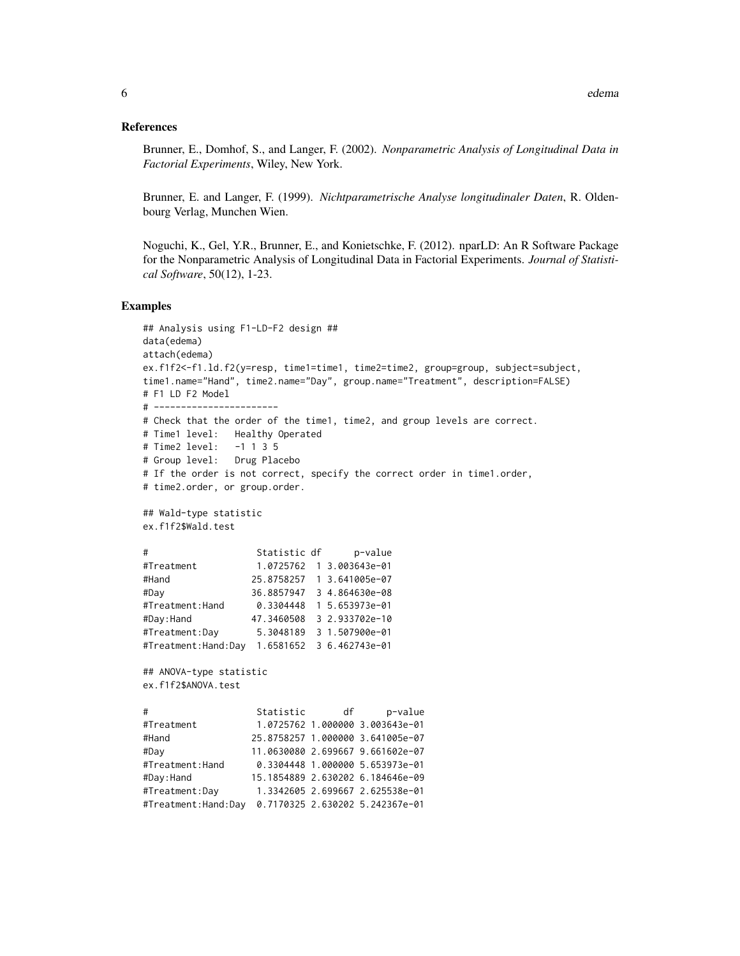#### References

Brunner, E., Domhof, S., and Langer, F. (2002). *Nonparametric Analysis of Longitudinal Data in Factorial Experiments*, Wiley, New York.

Brunner, E. and Langer, F. (1999). *Nichtparametrische Analyse longitudinaler Daten*, R. Oldenbourg Verlag, Munchen Wien.

Noguchi, K., Gel, Y.R., Brunner, E., and Konietschke, F. (2012). nparLD: An R Software Package for the Nonparametric Analysis of Longitudinal Data in Factorial Experiments. *Journal of Statistical Software*, 50(12), 1-23.

```
## Analysis using F1-LD-F2 design ##
data(edema)
attach(edema)
ex.f1f2<-f1.ld.f2(y=resp, time1=time1, time2=time2, group=group, subject=subject,
time1.name="Hand", time2.name="Day", group.name="Treatment", description=FALSE)
# F1 LD F2 Model
# -----------------------
# Check that the order of the time1, time2, and group levels are correct.
# Time1 level: Healthy Operated
# Time2 level: -1 1 3 5
# Group level: Drug Placebo
# If the order is not correct, specify the correct order in time1.order,
# time2.order, or group.order.
## Wald-type statistic
ex.f1f2$Wald.test
# Statistic df p-value
#Treatment 1.0725762 1 3.003643e-01
#Hand 25.8758257 1 3.641005e-07
#Day 36.8857947 3 4.864630e-08
#Treatment:Hand 0.3304448 1 5.653973e-01
#Day:Hand 47.3460508 3 2.933702e-10
#Treatment:Day 5.3048189 3 1.507900e-01
#Treatment:Hand:Day 1.6581652 3 6.462743e-01
## ANOVA-type statistic
ex.f1f2$ANOVA.test
# Statistic df p-value
#Treatment 1.0725762 1.000000 3.003643e-01
#Hand 25.8758257 1.000000 3.641005e-07
#Day 11.0630080 2.699667 9.661602e-07
#Treatment:Hand 0.3304448 1.000000 5.653973e-01
#Day:Hand 15.1854889 2.630202 6.184646e-09
#Treatment:Day 1.3342605 2.699667 2.625538e-01
#Treatment:Hand:Day 0.7170325 2.630202 5.242367e-01
```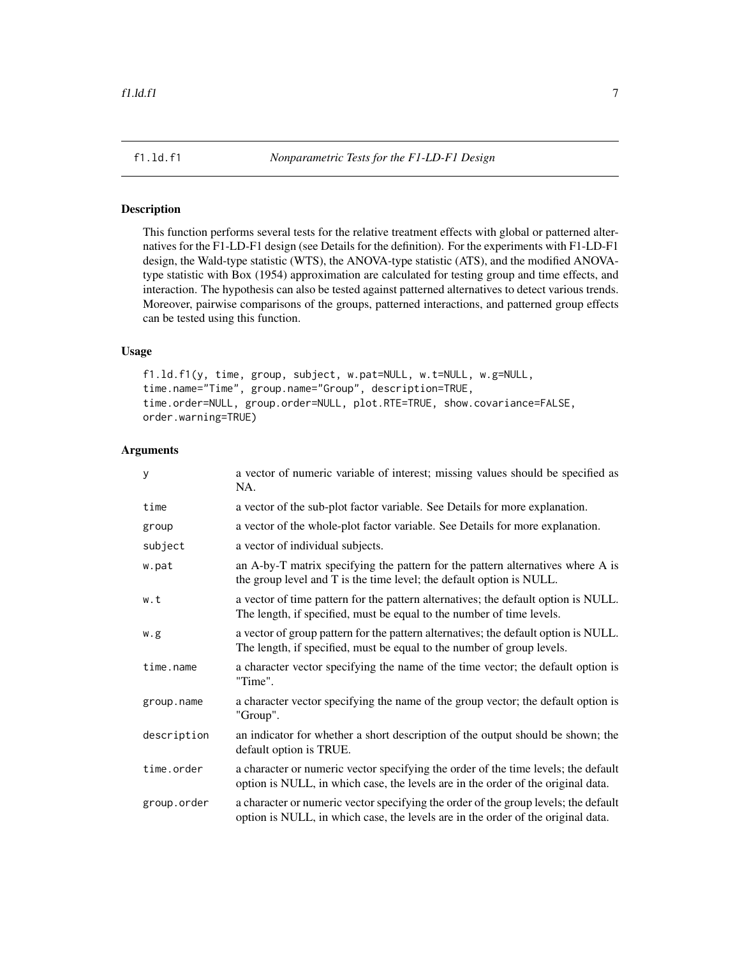<span id="page-6-1"></span><span id="page-6-0"></span>

## Description

This function performs several tests for the relative treatment effects with global or patterned alternatives for the F1-LD-F1 design (see Details for the definition). For the experiments with F1-LD-F1 design, the Wald-type statistic (WTS), the ANOVA-type statistic (ATS), and the modified ANOVAtype statistic with Box (1954) approximation are calculated for testing group and time effects, and interaction. The hypothesis can also be tested against patterned alternatives to detect various trends. Moreover, pairwise comparisons of the groups, patterned interactions, and patterned group effects can be tested using this function.

## Usage

f1.ld.f1(y, time, group, subject, w.pat=NULL, w.t=NULL, w.g=NULL, time.name="Time", group.name="Group", description=TRUE, time.order=NULL, group.order=NULL, plot.RTE=TRUE, show.covariance=FALSE, order.warning=TRUE)

#### Arguments

| y           | a vector of numeric variable of interest; missing values should be specified as<br>NA.                                                                                  |
|-------------|-------------------------------------------------------------------------------------------------------------------------------------------------------------------------|
| time        | a vector of the sub-plot factor variable. See Details for more explanation.                                                                                             |
| group       | a vector of the whole-plot factor variable. See Details for more explanation.                                                                                           |
| subject     | a vector of individual subjects.                                                                                                                                        |
| w.pat       | an A-by-T matrix specifying the pattern for the pattern alternatives where A is<br>the group level and T is the time level; the default option is NULL.                 |
| w.t         | a vector of time pattern for the pattern alternatives; the default option is NULL.<br>The length, if specified, must be equal to the number of time levels.             |
| w.g         | a vector of group pattern for the pattern alternatives; the default option is NULL.<br>The length, if specified, must be equal to the number of group levels.           |
| time.name   | a character vector specifying the name of the time vector; the default option is<br>"Time".                                                                             |
| group.name  | a character vector specifying the name of the group vector; the default option is<br>"Group".                                                                           |
| description | an indicator for whether a short description of the output should be shown; the<br>default option is TRUE.                                                              |
| time.order  | a character or numeric vector specifying the order of the time levels; the default<br>option is NULL, in which case, the levels are in the order of the original data.  |
| group.order | a character or numeric vector specifying the order of the group levels; the default<br>option is NULL, in which case, the levels are in the order of the original data. |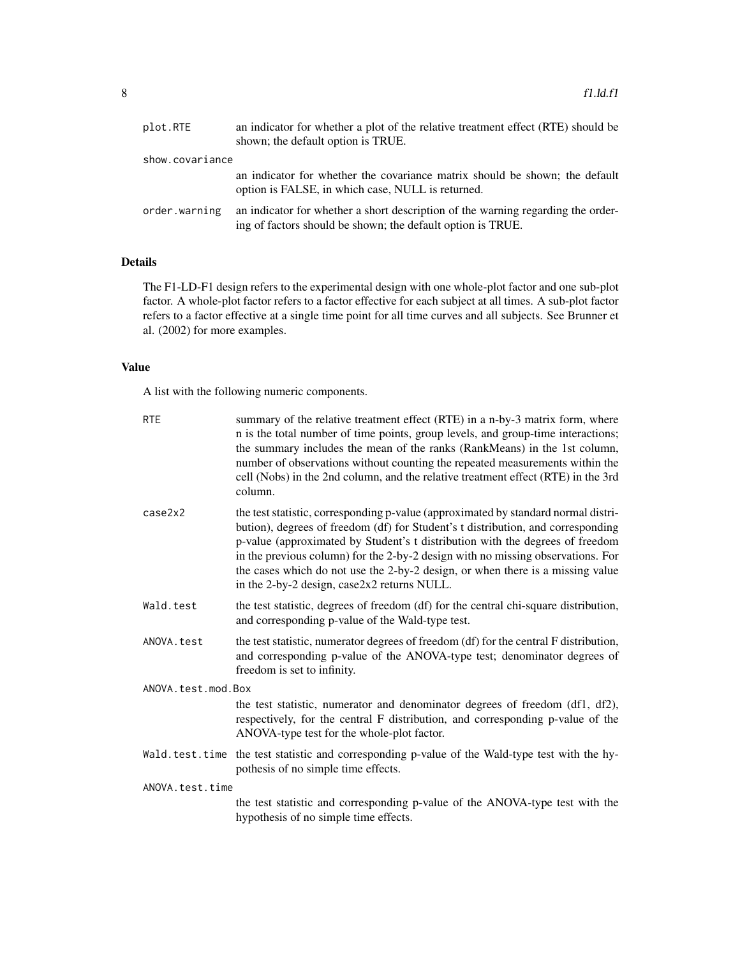| plot.RTE        | an indicator for whether a plot of the relative treatment effect (RTE) should be<br>shown; the default option is TRUE.                          |
|-----------------|-------------------------------------------------------------------------------------------------------------------------------------------------|
| show.covariance |                                                                                                                                                 |
|                 | an indicator for whether the covariance matrix should be shown; the default<br>option is FALSE, in which case, NULL is returned.                |
| order.warning   | an indicator for whether a short description of the warning regarding the order-<br>ing of factors should be shown; the default option is TRUE. |

## Details

The F1-LD-F1 design refers to the experimental design with one whole-plot factor and one sub-plot factor. A whole-plot factor refers to a factor effective for each subject at all times. A sub-plot factor refers to a factor effective at a single time point for all time curves and all subjects. See Brunner et al. (2002) for more examples.

## Value

A list with the following numeric components.

| <b>RTE</b>         | summary of the relative treatment effect (RTE) in a n-by-3 matrix form, where<br>n is the total number of time points, group levels, and group-time interactions;<br>the summary includes the mean of the ranks (RankMeans) in the 1st column,<br>number of observations without counting the repeated measurements within the<br>cell (Nobs) in the 2nd column, and the relative treatment effect (RTE) in the 3rd<br>column.                                              |
|--------------------|-----------------------------------------------------------------------------------------------------------------------------------------------------------------------------------------------------------------------------------------------------------------------------------------------------------------------------------------------------------------------------------------------------------------------------------------------------------------------------|
| case2x2            | the test statistic, corresponding p-value (approximated by standard normal distri-<br>bution), degrees of freedom (df) for Student's t distribution, and corresponding<br>p-value (approximated by Student's t distribution with the degrees of freedom<br>in the previous column) for the 2-by-2 design with no missing observations. For<br>the cases which do not use the 2-by-2 design, or when there is a missing value<br>in the 2-by-2 design, case2x2 returns NULL. |
| Wald.test          | the test statistic, degrees of freedom (df) for the central chi-square distribution,<br>and corresponding p-value of the Wald-type test.                                                                                                                                                                                                                                                                                                                                    |
| ANOVA.test         | the test statistic, numerator degrees of freedom (df) for the central F distribution,<br>and corresponding p-value of the ANOVA-type test; denominator degrees of<br>freedom is set to infinity.                                                                                                                                                                                                                                                                            |
| ANOVA.test.mod.Box |                                                                                                                                                                                                                                                                                                                                                                                                                                                                             |
|                    | the test statistic, numerator and denominator degrees of freedom (df1, df2),<br>respectively, for the central F distribution, and corresponding p-value of the<br>ANOVA-type test for the whole-plot factor.                                                                                                                                                                                                                                                                |
|                    | Wald. test. time the test statistic and corresponding p-value of the Wald-type test with the hy-<br>pothesis of no simple time effects.                                                                                                                                                                                                                                                                                                                                     |
| ANOVA.test.time    |                                                                                                                                                                                                                                                                                                                                                                                                                                                                             |
|                    | the test statistic and corresponding p-value of the ANOVA-type test with the<br>hypothesis of no simple time effects.                                                                                                                                                                                                                                                                                                                                                       |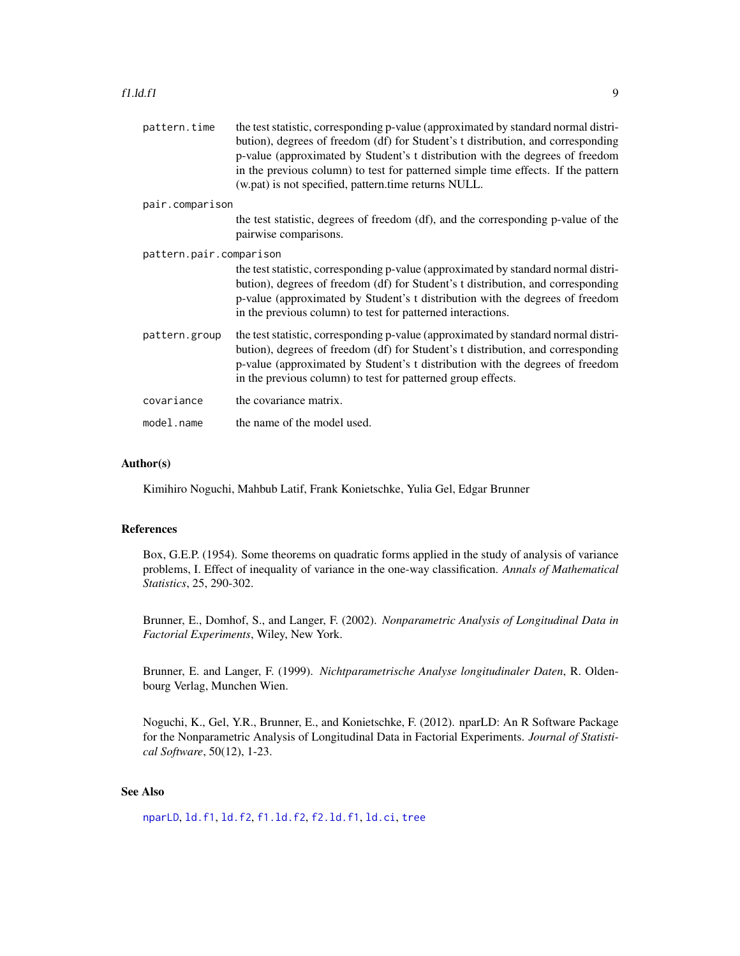#### <span id="page-8-0"></span>f1.ld.f1  $\qquad \qquad$  9

| the test statistic, corresponding p-value (approximated by standard normal distri-<br>bution), degrees of freedom (df) for Student's t distribution, and corresponding<br>p-value (approximated by Student's t distribution with the degrees of freedom<br>in the previous column) to test for patterned simple time effects. If the pattern<br>(w.pat) is not specified, pattern.time returns NULL. |
|------------------------------------------------------------------------------------------------------------------------------------------------------------------------------------------------------------------------------------------------------------------------------------------------------------------------------------------------------------------------------------------------------|
| pair.comparison                                                                                                                                                                                                                                                                                                                                                                                      |
| the test statistic, degrees of freedom (df), and the corresponding p-value of the<br>pairwise comparisons.                                                                                                                                                                                                                                                                                           |
| pattern.pair.comparison                                                                                                                                                                                                                                                                                                                                                                              |
| the test statistic, corresponding p-value (approximated by standard normal distri-<br>bution), degrees of freedom (df) for Student's t distribution, and corresponding<br>p-value (approximated by Student's t distribution with the degrees of freedom<br>in the previous column) to test for patterned interactions.                                                                               |
| the test statistic, corresponding p-value (approximated by standard normal distri-<br>bution), degrees of freedom (df) for Student's t distribution, and corresponding<br>p-value (approximated by Student's t distribution with the degrees of freedom<br>in the previous column) to test for patterned group effects.                                                                              |
| the covariance matrix.                                                                                                                                                                                                                                                                                                                                                                               |
| the name of the model used.                                                                                                                                                                                                                                                                                                                                                                          |
|                                                                                                                                                                                                                                                                                                                                                                                                      |

#### Author(s)

Kimihiro Noguchi, Mahbub Latif, Frank Konietschke, Yulia Gel, Edgar Brunner

#### References

Box, G.E.P. (1954). Some theorems on quadratic forms applied in the study of analysis of variance problems, I. Effect of inequality of variance in the one-way classification. *Annals of Mathematical Statistics*, 25, 290-302.

Brunner, E., Domhof, S., and Langer, F. (2002). *Nonparametric Analysis of Longitudinal Data in Factorial Experiments*, Wiley, New York.

Brunner, E. and Langer, F. (1999). *Nichtparametrische Analyse longitudinaler Daten*, R. Oldenbourg Verlag, Munchen Wien.

Noguchi, K., Gel, Y.R., Brunner, E., and Konietschke, F. (2012). nparLD: An R Software Package for the Nonparametric Analysis of Longitudinal Data in Factorial Experiments. *Journal of Statistical Software*, 50(12), 1-23.

## See Also

[nparLD](#page-23-1), [ld.f1](#page-18-1), [ld.f2](#page-21-1), [f1.ld.f2](#page-9-1), [f2.ld.f1](#page-12-1), [ld.ci](#page-16-1), [tree](#page-46-1)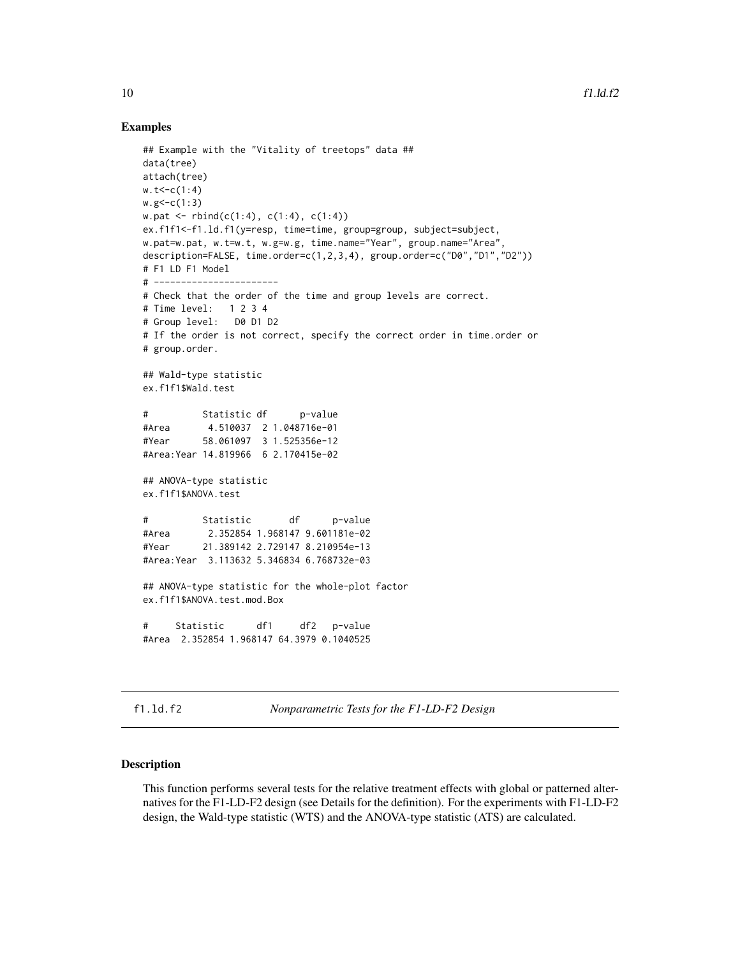#### Examples

```
## Example with the "Vitality of treetops" data ##
data(tree)
attach(tree)
w.t < -c(1:4)w.g < -c(1:3)w.path \leftarrow \text{rbind}(c(1:4), c(1:4), c(1:4))ex.f1f1<-f1.ld.f1(y=resp, time=time, group=group, subject=subject,
w.pat=w.pat, w.t=w.t, w.g=w.g, time.name="Year", group.name="Area"
description=FALSE, time.order=c(1,2,3,4), group.order=c("D0","D1","D2"))
# F1 LD F1 Model
# -----------------------
# Check that the order of the time and group levels are correct.
# Time level: 1 2 3 4
# Group level: D0 D1 D2
# If the order is not correct, specify the correct order in time.order or
# group.order.
## Wald-type statistic
ex.f1f1$Wald.test
# Statistic df p-value
#Area 4.510037 2 1.048716e-01
#Year 58.061097 3 1.525356e-12
#Area:Year 14.819966 6 2.170415e-02
## ANOVA-type statistic
ex.f1f1$ANOVA.test
# Statistic df p-value
#Area 2.352854 1.968147 9.601181e-02
#Year 21.389142 2.729147 8.210954e-13
#Area:Year 3.113632 5.346834 6.768732e-03
## ANOVA-type statistic for the whole-plot factor
ex.f1f1$ANOVA.test.mod.Box
# Statistic df1 df2 p-value
#Area 2.352854 1.968147 64.3979 0.1040525
```
<span id="page-9-1"></span>f1.ld.f2 *Nonparametric Tests for the F1-LD-F2 Design*

#### Description

This function performs several tests for the relative treatment effects with global or patterned alternatives for the F1-LD-F2 design (see Details for the definition). For the experiments with F1-LD-F2 design, the Wald-type statistic (WTS) and the ANOVA-type statistic (ATS) are calculated.

<span id="page-9-0"></span>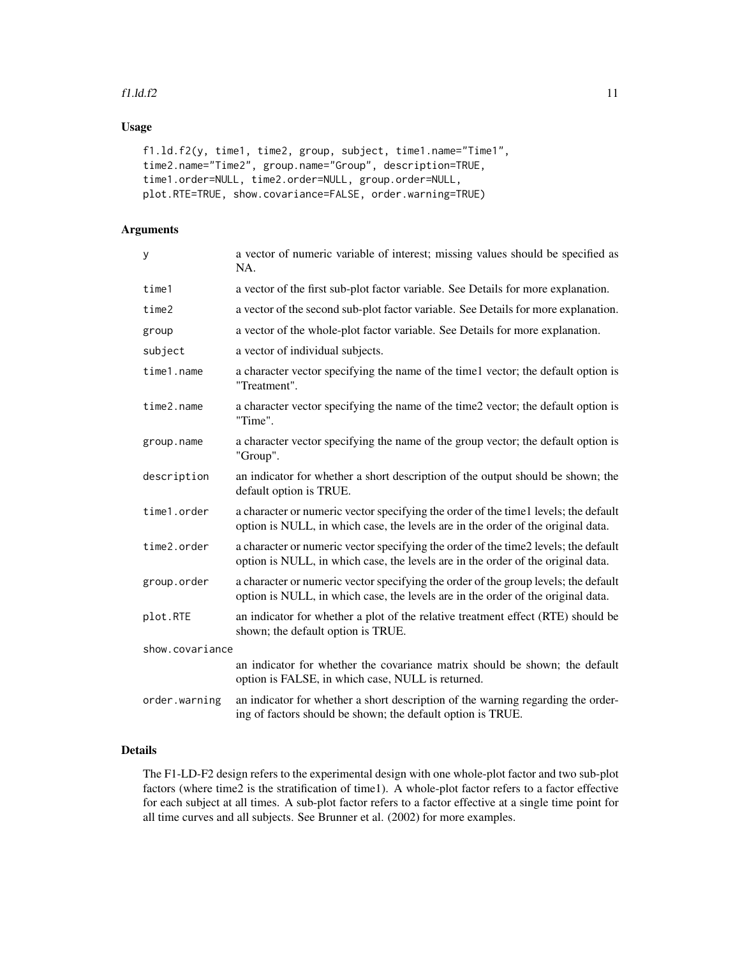#### f1.ld.f2  $11$

## Usage

```
f1.ld.f2(y, time1, time2, group, subject, time1.name="Time1",
time2.name="Time2", group.name="Group", description=TRUE,
time1.order=NULL, time2.order=NULL, group.order=NULL,
plot.RTE=TRUE, show.covariance=FALSE, order.warning=TRUE)
```
## Arguments

| у               | a vector of numeric variable of interest; missing values should be specified as<br>NA.                                                                                   |
|-----------------|--------------------------------------------------------------------------------------------------------------------------------------------------------------------------|
| time1           | a vector of the first sub-plot factor variable. See Details for more explanation.                                                                                        |
| time2           | a vector of the second sub-plot factor variable. See Details for more explanation.                                                                                       |
| group           | a vector of the whole-plot factor variable. See Details for more explanation.                                                                                            |
| subject         | a vector of individual subjects.                                                                                                                                         |
| time1.name      | a character vector specifying the name of the time1 vector; the default option is<br>"Treatment".                                                                        |
| time2.name      | a character vector specifying the name of the time2 vector; the default option is<br>"Time".                                                                             |
| group.name      | a character vector specifying the name of the group vector; the default option is<br>"Group".                                                                            |
| description     | an indicator for whether a short description of the output should be shown; the<br>default option is TRUE.                                                               |
| time1.order     | a character or numeric vector specifying the order of the time 1 levels; the default<br>option is NULL, in which case, the levels are in the order of the original data. |
| time2.order     | a character or numeric vector specifying the order of the time2 levels; the default<br>option is NULL, in which case, the levels are in the order of the original data.  |
| group.order     | a character or numeric vector specifying the order of the group levels; the default<br>option is NULL, in which case, the levels are in the order of the original data.  |
| plot.RTE        | an indicator for whether a plot of the relative treatment effect (RTE) should be<br>shown; the default option is TRUE.                                                   |
| show.covariance |                                                                                                                                                                          |
|                 | an indicator for whether the covariance matrix should be shown; the default<br>option is FALSE, in which case, NULL is returned.                                         |
| order.warning   | an indicator for whether a short description of the warning regarding the order-<br>ing of factors should be shown; the default option is TRUE.                          |

## Details

The F1-LD-F2 design refers to the experimental design with one whole-plot factor and two sub-plot factors (where time2 is the stratification of time1). A whole-plot factor refers to a factor effective for each subject at all times. A sub-plot factor refers to a factor effective at a single time point for all time curves and all subjects. See Brunner et al. (2002) for more examples.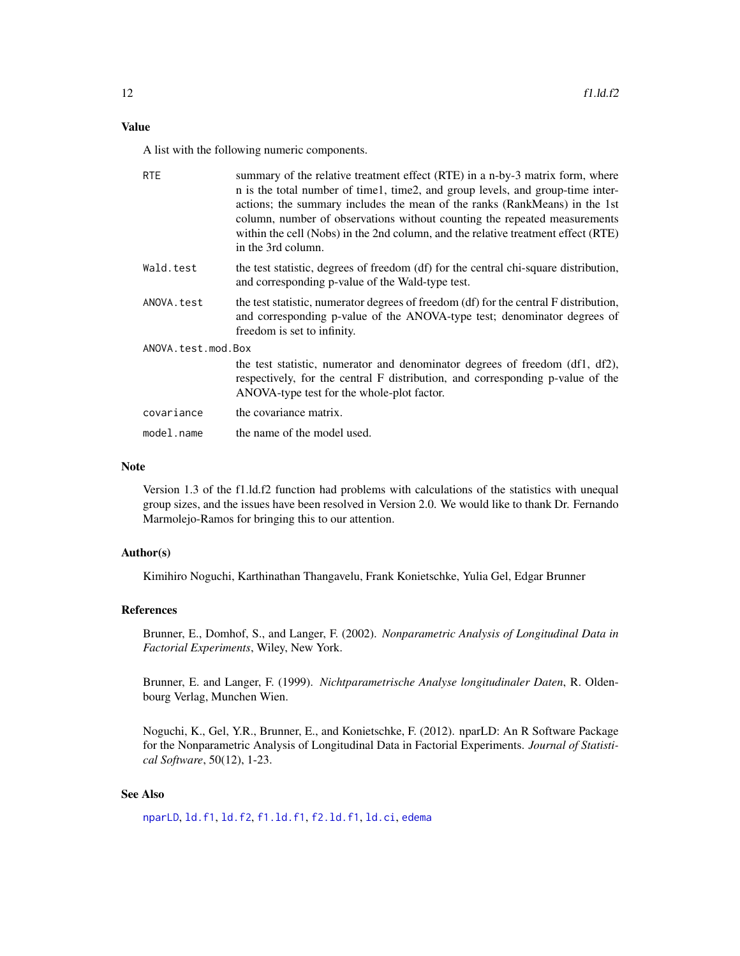### <span id="page-11-0"></span>Value

A list with the following numeric components.

| <b>RTE</b>         | summary of the relative treatment effect (RTE) in a n-by-3 matrix form, where<br>n is the total number of time1, time2, and group levels, and group-time inter-<br>actions; the summary includes the mean of the ranks (RankMeans) in the 1st<br>column, number of observations without counting the repeated measurements<br>within the cell (Nobs) in the 2nd column, and the relative treatment effect (RTE)<br>in the 3rd column. |
|--------------------|---------------------------------------------------------------------------------------------------------------------------------------------------------------------------------------------------------------------------------------------------------------------------------------------------------------------------------------------------------------------------------------------------------------------------------------|
| Wald.test          | the test statistic, degrees of freedom (df) for the central chi-square distribution,<br>and corresponding p-value of the Wald-type test.                                                                                                                                                                                                                                                                                              |
| ANOVA.test         | the test statistic, numerator degrees of freedom (df) for the central F distribution,<br>and corresponding p-value of the ANOVA-type test; denominator degrees of<br>freedom is set to infinity.                                                                                                                                                                                                                                      |
| ANOVA.test.mod.Box |                                                                                                                                                                                                                                                                                                                                                                                                                                       |
|                    | the test statistic, numerator and denominator degrees of freedom (df1, df2),<br>respectively, for the central F distribution, and corresponding p-value of the<br>ANOVA-type test for the whole-plot factor.                                                                                                                                                                                                                          |
| covariance         | the covariance matrix.                                                                                                                                                                                                                                                                                                                                                                                                                |
| model.name         | the name of the model used.                                                                                                                                                                                                                                                                                                                                                                                                           |

## Note

Version 1.3 of the f1.ld.f2 function had problems with calculations of the statistics with unequal group sizes, and the issues have been resolved in Version 2.0. We would like to thank Dr. Fernando Marmolejo-Ramos for bringing this to our attention.

#### Author(s)

Kimihiro Noguchi, Karthinathan Thangavelu, Frank Konietschke, Yulia Gel, Edgar Brunner

## References

Brunner, E., Domhof, S., and Langer, F. (2002). *Nonparametric Analysis of Longitudinal Data in Factorial Experiments*, Wiley, New York.

Brunner, E. and Langer, F. (1999). *Nichtparametrische Analyse longitudinaler Daten*, R. Oldenbourg Verlag, Munchen Wien.

Noguchi, K., Gel, Y.R., Brunner, E., and Konietschke, F. (2012). nparLD: An R Software Package for the Nonparametric Analysis of Longitudinal Data in Factorial Experiments. *Journal of Statistical Software*, 50(12), 1-23.

## See Also

[nparLD](#page-23-1), [ld.f1](#page-18-1), [ld.f2](#page-21-1), [f1.ld.f1](#page-6-1), [f2.ld.f1](#page-12-1), [ld.ci](#page-16-1), [edema](#page-4-1)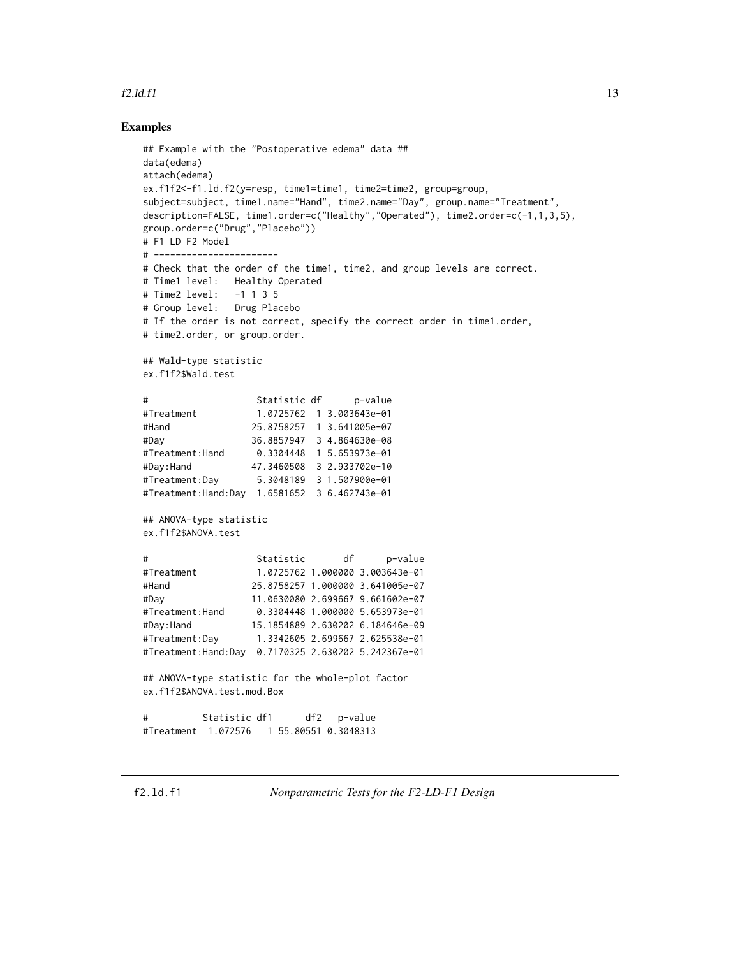#### <span id="page-12-0"></span>f2.ld.f1  $\frac{13}{2}$

## Examples

```
## Example with the "Postoperative edema" data ##
data(edema)
attach(edema)
ex.f1f2<-f1.ld.f2(y=resp, time1=time1, time2=time2, group=group,
subject=subject, time1.name="Hand", time2.name="Day", group.name="Treatment",
description=FALSE, time1.order=c("Healthy","Operated"), time2.order=c(-1,1,3,5),
group.order=c("Drug","Placebo"))
# F1 LD F2 Model
# -----------------------
# Check that the order of the time1, time2, and group levels are correct.
# Time1 level: Healthy Operated
# Time2 level: -1 1 3 5
# Group level: Drug Placebo
# If the order is not correct, specify the correct order in time1.order,
# time2.order, or group.order.
## Wald-type statistic
ex.f1f2$Wald.test
# Statistic df p-value
#Treatment 1.0725762 1 3.003643e-01
#Hand 25.8758257 1 3.641005e-07
#Day 36.8857947 3 4.864630e-08
#Treatment:Hand 0.3304448 1 5.653973e-01
#Day:Hand 47.3460508 3 2.933702e-10
#Treatment:Day 5.3048189 3 1.507900e-01
#Treatment:Hand:Day 1.6581652 3 6.462743e-01
## ANOVA-type statistic
ex.f1f2$ANOVA.test
# Statistic df p-value
#Treatment 1.0725762 1.000000 3.003643e-01
#Hand 25.8758257 1.000000 3.641005e-07
#Day 11.0630080 2.699667 9.661602e-07
#Treatment:Hand 0.3304448 1.000000 5.653973e-01
#Day:Hand 15.1854889 2.630202 6.184646e-09
#Treatment:Day 1.3342605 2.699667 2.625538e-01
#Treatment:Hand:Day 0.7170325 2.630202 5.242367e-01
## ANOVA-type statistic for the whole-plot factor
ex.f1f2$ANOVA.test.mod.Box
# Statistic df1 df2 p-value
#Treatment 1.072576 1 55.80551 0.3048313
```
<span id="page-12-1"></span>f2.ld.f1 *Nonparametric Tests for the F2-LD-F1 Design*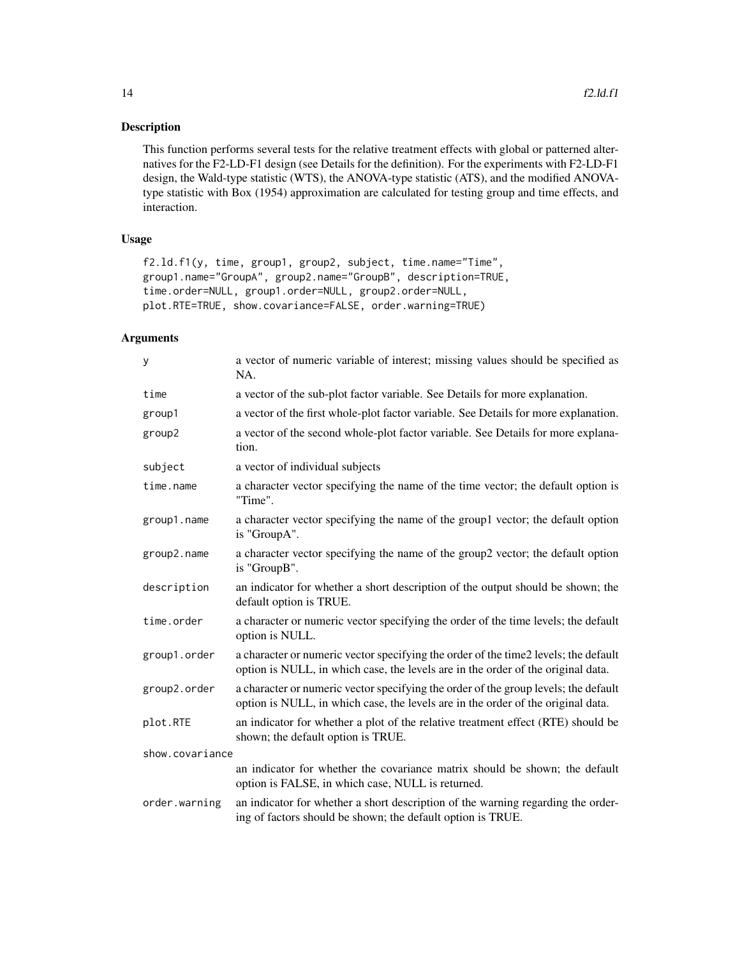## Description

This function performs several tests for the relative treatment effects with global or patterned alternatives for the F2-LD-F1 design (see Details for the definition). For the experiments with F2-LD-F1 design, the Wald-type statistic (WTS), the ANOVA-type statistic (ATS), and the modified ANOVAtype statistic with Box (1954) approximation are calculated for testing group and time effects, and interaction.

## Usage

f2.ld.f1(y, time, group1, group2, subject, time.name="Time", group1.name="GroupA", group2.name="GroupB", description=TRUE, time.order=NULL, group1.order=NULL, group2.order=NULL, plot.RTE=TRUE, show.covariance=FALSE, order.warning=TRUE)

## Arguments

| У               | a vector of numeric variable of interest; missing values should be specified as<br>NA.                                                                                  |
|-----------------|-------------------------------------------------------------------------------------------------------------------------------------------------------------------------|
| time            | a vector of the sub-plot factor variable. See Details for more explanation.                                                                                             |
| group1          | a vector of the first whole-plot factor variable. See Details for more explanation.                                                                                     |
| group2          | a vector of the second whole-plot factor variable. See Details for more explana-<br>tion.                                                                               |
| subject         | a vector of individual subjects                                                                                                                                         |
| time.name       | a character vector specifying the name of the time vector; the default option is<br>"Time".                                                                             |
| group1.name     | a character vector specifying the name of the group1 vector; the default option<br>is "GroupA".                                                                         |
| group2.name     | a character vector specifying the name of the group2 vector; the default option<br>is "GroupB".                                                                         |
| description     | an indicator for whether a short description of the output should be shown; the<br>default option is TRUE.                                                              |
| time.order      | a character or numeric vector specifying the order of the time levels; the default<br>option is NULL.                                                                   |
| group1.order    | a character or numeric vector specifying the order of the time2 levels; the default<br>option is NULL, in which case, the levels are in the order of the original data. |
| group2.order    | a character or numeric vector specifying the order of the group levels; the default<br>option is NULL, in which case, the levels are in the order of the original data. |
| plot.RTE        | an indicator for whether a plot of the relative treatment effect (RTE) should be<br>shown; the default option is TRUE.                                                  |
| show.covariance |                                                                                                                                                                         |
|                 | an indicator for whether the covariance matrix should be shown; the default<br>option is FALSE, in which case, NULL is returned.                                        |
| order.warning   | an indicator for whether a short description of the warning regarding the order-<br>ing of factors should be shown; the default option is TRUE.                         |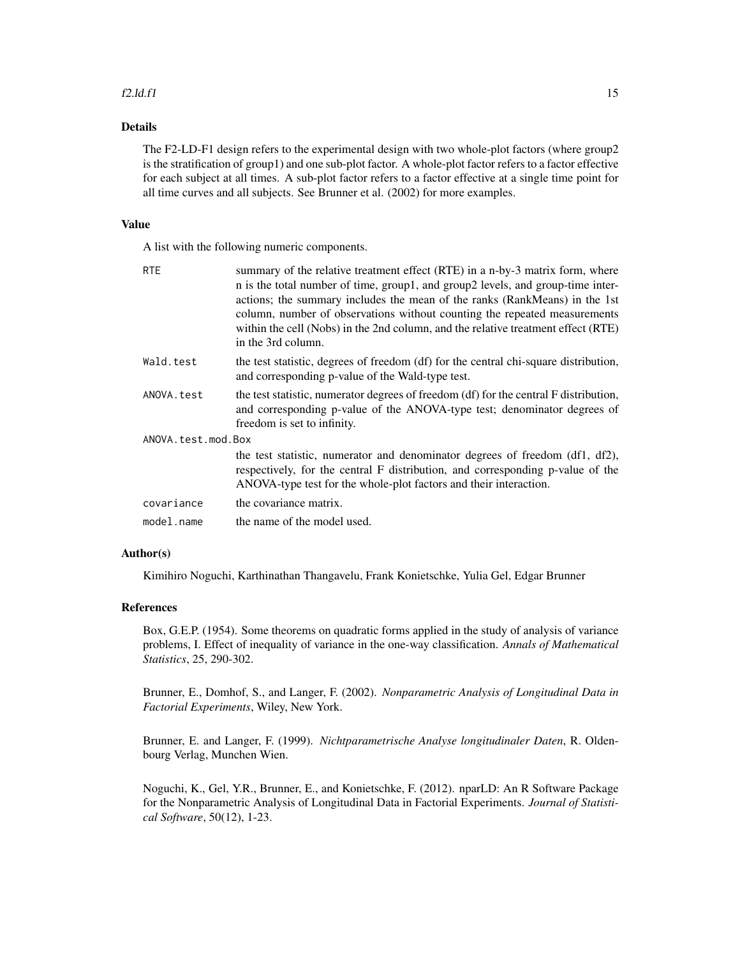#### f2.ld.f1  $\frac{15}{2}$  15

## Details

The F2-LD-F1 design refers to the experimental design with two whole-plot factors (where group2 is the stratification of group1) and one sub-plot factor. A whole-plot factor refers to a factor effective for each subject at all times. A sub-plot factor refers to a factor effective at a single time point for all time curves and all subjects. See Brunner et al. (2002) for more examples.

#### Value

A list with the following numeric components.

| <b>RTE</b>         | summary of the relative treatment effect (RTE) in a n-by-3 matrix form, where<br>n is the total number of time, group1, and group2 levels, and group-time inter-<br>actions; the summary includes the mean of the ranks (RankMeans) in the 1st<br>column, number of observations without counting the repeated measurements<br>within the cell (Nobs) in the 2nd column, and the relative treatment effect (RTE)<br>in the 3rd column. |
|--------------------|----------------------------------------------------------------------------------------------------------------------------------------------------------------------------------------------------------------------------------------------------------------------------------------------------------------------------------------------------------------------------------------------------------------------------------------|
| Wald.test          | the test statistic, degrees of freedom (df) for the central chi-square distribution,<br>and corresponding p-value of the Wald-type test.                                                                                                                                                                                                                                                                                               |
| ANOVA.test         | the test statistic, numerator degrees of freedom (df) for the central F distribution,<br>and corresponding p-value of the ANOVA-type test; denominator degrees of<br>freedom is set to infinity.                                                                                                                                                                                                                                       |
| ANOVA.test.mod.Box |                                                                                                                                                                                                                                                                                                                                                                                                                                        |
|                    | the test statistic, numerator and denominator degrees of freedom (df1, df2),<br>respectively, for the central F distribution, and corresponding p-value of the<br>ANOVA-type test for the whole-plot factors and their interaction.                                                                                                                                                                                                    |
| covariance         | the covariance matrix.                                                                                                                                                                                                                                                                                                                                                                                                                 |
| model.name         | the name of the model used.                                                                                                                                                                                                                                                                                                                                                                                                            |
|                    |                                                                                                                                                                                                                                                                                                                                                                                                                                        |

#### Author(s)

Kimihiro Noguchi, Karthinathan Thangavelu, Frank Konietschke, Yulia Gel, Edgar Brunner

#### References

Box, G.E.P. (1954). Some theorems on quadratic forms applied in the study of analysis of variance problems, I. Effect of inequality of variance in the one-way classification. *Annals of Mathematical Statistics*, 25, 290-302.

Brunner, E., Domhof, S., and Langer, F. (2002). *Nonparametric Analysis of Longitudinal Data in Factorial Experiments*, Wiley, New York.

Brunner, E. and Langer, F. (1999). *Nichtparametrische Analyse longitudinaler Daten*, R. Oldenbourg Verlag, Munchen Wien.

Noguchi, K., Gel, Y.R., Brunner, E., and Konietschke, F. (2012). nparLD: An R Software Package for the Nonparametric Analysis of Longitudinal Data in Factorial Experiments. *Journal of Statistical Software*, 50(12), 1-23.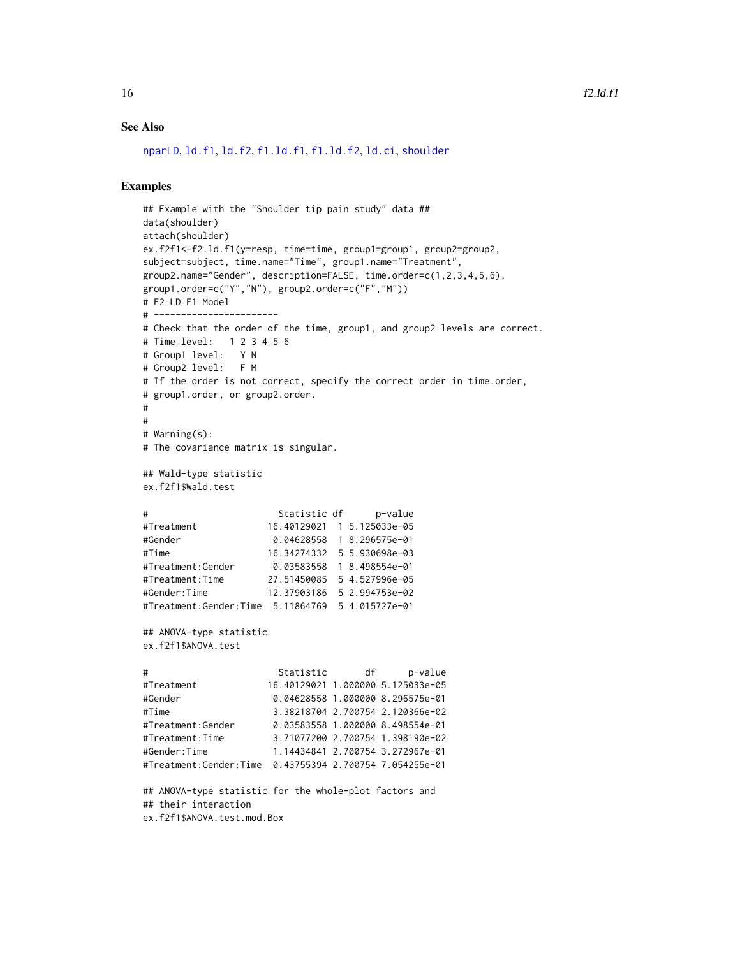#### <span id="page-15-0"></span>See Also

[nparLD](#page-23-1), [ld.f1](#page-18-1), [ld.f2](#page-21-1), [f1.ld.f1](#page-6-1), [f1.ld.f2](#page-9-1), [ld.ci](#page-16-1), [shoulder](#page-42-1)

```
## Example with the "Shoulder tip pain study" data ##
data(shoulder)
attach(shoulder)
ex.f2f1<-f2.ld.f1(y=resp, time=time, group1=group1, group2=group2,
subject=subject, time.name="Time", group1.name="Treatment",
group2.name="Gender", description=FALSE, time.order=c(1,2,3,4,5,6),
group1.order=c("Y","N"), group2.order=c("F","M"))
# F2 LD F1 Model
# -----------------------
# Check that the order of the time, group1, and group2 levels are correct.
# Time level: 1 2 3 4 5 6
# Group1 level: Y N
# Group2 level: F M
# If the order is not correct, specify the correct order in time.order,
# group1.order, or group2.order.
#
#
# Warning(s):
# The covariance matrix is singular.
## Wald-type statistic
ex.f2f1$Wald.test
# Statistic df p-value
#Treatment 16.40129021 1 5.125033e-05
#Gender 0.04628558 1 8.296575e-01
#Time 16.34274332 5 5.930698e-03
#Treatment:Gender 0.03583558 1 8.498554e-01
#Treatment:Time 27.51450085 5 4.527996e-05
#Gender:Time 12.37903186 5 2.994753e-02
#Treatment:Gender:Time 5.11864769 5 4.015727e-01
## ANOVA-type statistic
ex.f2f1$ANOVA.test
# Statistic df p-value
#Treatment 16.40129021 1.000000 5.125033e-05
#Gender 0.04628558 1.000000 8.296575e-01
#Time 3.38218704 2.700754 2.120366e-02
#Treatment:Gender 0.03583558 1.000000 8.498554e-01
#Treatment:Time 3.71077200 2.700754 1.398190e-02
#Gender:Time 1.14434841 2.700754 3.272967e-01
#Treatment:Gender:Time 0.43755394 2.700754 7.054255e-01
## ANOVA-type statistic for the whole-plot factors and
## their interaction
ex.f2f1$ANOVA.test.mod.Box
```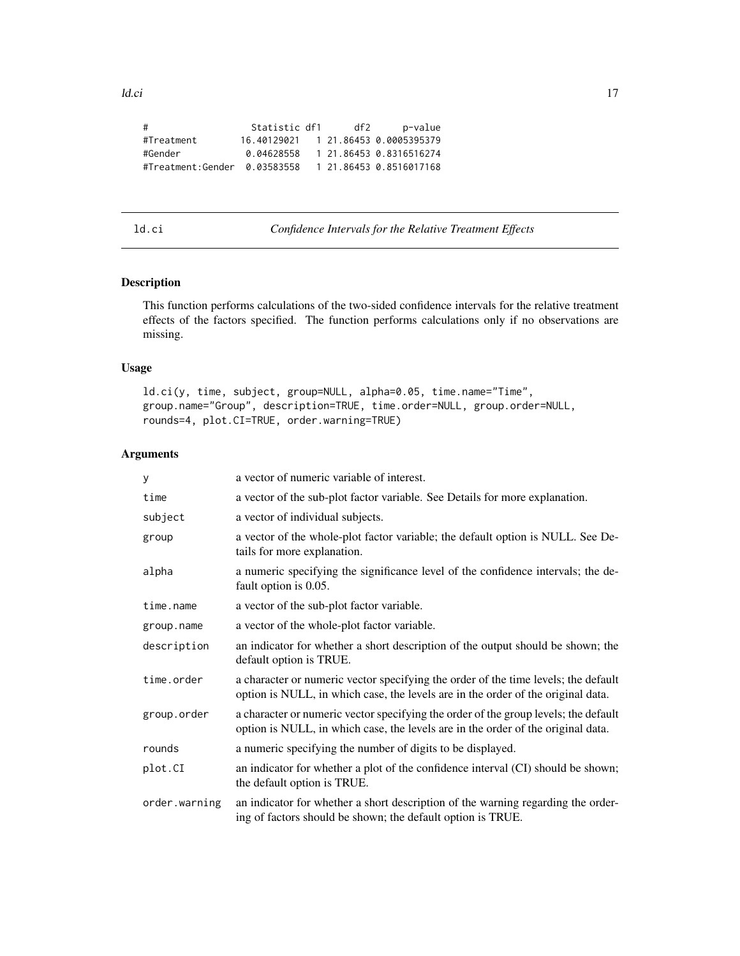<span id="page-16-0"></span>

| #                            | Statistic df1 | df2 | p-value                 |
|------------------------------|---------------|-----|-------------------------|
| #Treatment                   | 16.40129021   |     | 1 21.86453 0.0005395379 |
| #Gender                      | 0.04628558    |     | 1 21.86453 0.8316516274 |
| #Treatment:Gender 0.03583558 |               |     | 1 21.86453 0.8516017168 |

## <span id="page-16-1"></span>ld.ci *Confidence Intervals for the Relative Treatment Effects*

## Description

This function performs calculations of the two-sided confidence intervals for the relative treatment effects of the factors specified. The function performs calculations only if no observations are missing.

## Usage

```
ld.ci(y, time, subject, group=NULL, alpha=0.05, time.name="Time",
group.name="Group", description=TRUE, time.order=NULL, group.order=NULL,
rounds=4, plot.CI=TRUE, order.warning=TRUE)
```
## Arguments

| y             | a vector of numeric variable of interest.                                                                                                                               |
|---------------|-------------------------------------------------------------------------------------------------------------------------------------------------------------------------|
| time          | a vector of the sub-plot factor variable. See Details for more explanation.                                                                                             |
| subject       | a vector of individual subjects.                                                                                                                                        |
| group         | a vector of the whole-plot factor variable; the default option is NULL. See De-<br>tails for more explanation.                                                          |
| alpha         | a numeric specifying the significance level of the confidence intervals; the de-<br>fault option is 0.05.                                                               |
| time.name     | a vector of the sub-plot factor variable.                                                                                                                               |
| group.name    | a vector of the whole-plot factor variable.                                                                                                                             |
| description   | an indicator for whether a short description of the output should be shown; the<br>default option is TRUE.                                                              |
| time.order    | a character or numeric vector specifying the order of the time levels; the default<br>option is NULL, in which case, the levels are in the order of the original data.  |
| group.order   | a character or numeric vector specifying the order of the group levels; the default<br>option is NULL, in which case, the levels are in the order of the original data. |
| rounds        | a numeric specifying the number of digits to be displayed.                                                                                                              |
| plot.CI       | an indicator for whether a plot of the confidence interval (CI) should be shown;<br>the default option is TRUE.                                                         |
| order.warning | an indicator for whether a short description of the warning regarding the order-<br>ing of factors should be shown; the default option is TRUE.                         |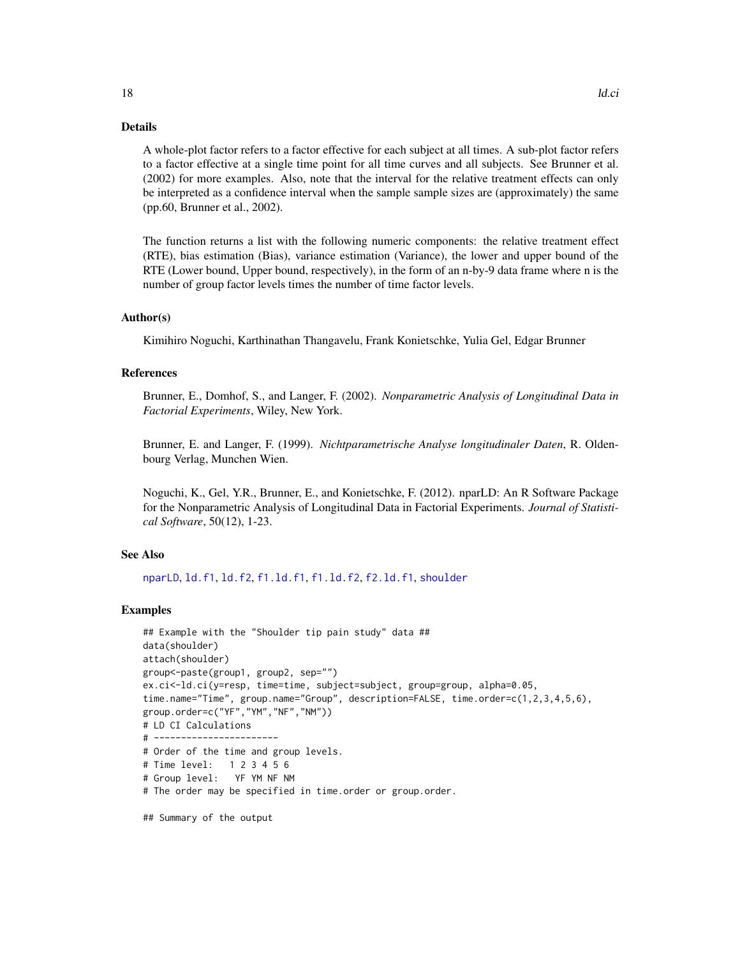#### <span id="page-17-0"></span>Details

A whole-plot factor refers to a factor effective for each subject at all times. A sub-plot factor refers to a factor effective at a single time point for all time curves and all subjects. See Brunner et al. (2002) for more examples. Also, note that the interval for the relative treatment effects can only be interpreted as a confidence interval when the sample sample sizes are (approximately) the same (pp.60, Brunner et al., 2002).

The function returns a list with the following numeric components: the relative treatment effect (RTE), bias estimation (Bias), variance estimation (Variance), the lower and upper bound of the RTE (Lower bound, Upper bound, respectively), in the form of an n-by-9 data frame where n is the number of group factor levels times the number of time factor levels.

#### Author(s)

Kimihiro Noguchi, Karthinathan Thangavelu, Frank Konietschke, Yulia Gel, Edgar Brunner

#### References

Brunner, E., Domhof, S., and Langer, F. (2002). *Nonparametric Analysis of Longitudinal Data in Factorial Experiments*, Wiley, New York.

Brunner, E. and Langer, F. (1999). *Nichtparametrische Analyse longitudinaler Daten*, R. Oldenbourg Verlag, Munchen Wien.

Noguchi, K., Gel, Y.R., Brunner, E., and Konietschke, F. (2012). nparLD: An R Software Package for the Nonparametric Analysis of Longitudinal Data in Factorial Experiments. *Journal of Statistical Software*, 50(12), 1-23.

#### See Also

[nparLD](#page-23-1), [ld.f1](#page-18-1), [ld.f2](#page-21-1), [f1.ld.f1](#page-6-1), [f1.ld.f2](#page-9-1), [f2.ld.f1](#page-12-1), [shoulder](#page-42-1)

#### Examples

```
## Example with the "Shoulder tip pain study" data ##
data(shoulder)
attach(shoulder)
group<-paste(group1, group2, sep="")
ex.ci<-ld.ci(y=resp, time=time, subject=subject, group=group, alpha=0.05,
time.name="Time", group.name="Group", description=FALSE, time.order=c(1,2,3,4,5,6),
group.order=c("YF","YM","NF","NM"))
# LD CI Calculations
# -----------------------
# Order of the time and group levels.
# Time level: 1 2 3 4 5 6
# Group level: YF YM NF NM
# The order may be specified in time.order or group.order.
```
## Summary of the output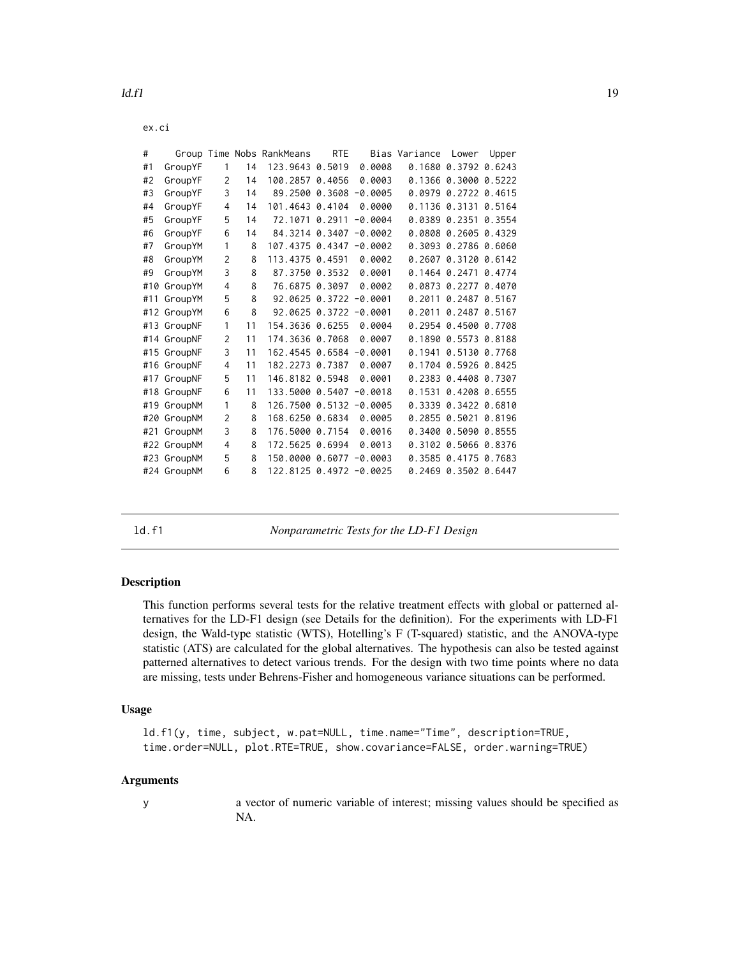<span id="page-18-0"></span>

| ۰.<br>× | on, | ۰.<br>× |
|---------|-----|---------|

| #   |             |                |    | Group Time Nobs RankMeans  | <b>RTE</b> |                              | Bias Variance | Lower                      | Upper |
|-----|-------------|----------------|----|----------------------------|------------|------------------------------|---------------|----------------------------|-------|
| #1  | GroupYF     | $\mathbf{1}$   | 14 | 123.9643 0.5019            |            | 0.0008                       |               | 0.1680 0.3792 0.6243       |       |
| #2  | GroupYF     | 2              | 14 | 100.2857 0.4056            |            | 0.0003                       |               | 0.1366 0.3000 0.5222       |       |
| #3  | GroupYF     | 3              | 14 |                            |            | 89.2500 0.3608 -0.0005       |               | 0.0979 0.2722 0.4615       |       |
| #4  | GroupYF     | 4              | 14 | 101.4643 0.4104            |            | 0.0000                       |               | 0.1136 0.3131 0.5164       |       |
| #5  | GroupYF     | 5              | 14 | 72.1071 0.2911             |            | $-0.0004$                    |               | 0.0389 0.2351 0.3554       |       |
| #6  | GroupYF     | 6              | 14 |                            |            | $84.3214$ $0.3407$ $-0.0002$ |               | 0.0808 0.2605 0.4329       |       |
| #7  | GroupYM     | 1              | 8  | 107.4375 0.4347            |            | $-0.0002$                    |               | 0.3093 0.2786 0.6060       |       |
| #8  | GroupYM     | 2              | 8  | 113.4375 0.4591            |            | 0.0002                       |               | 0.2607 0.3120 0.6142       |       |
| #9  | GroupYM     | 3              | 8  | 87.3750 0.3532             |            | 0.0001                       |               | $0.1464$ $0.2471$ $0.4774$ |       |
| #10 | GroupYM     | 4              | 8  | 76.6875 0.3097             |            | 0.0002                       |               | 0.0873 0.2277 0.4070       |       |
| #11 | GroupYM     | 5              | 8  | $92.0625$ 0.3722 -0.0001   |            |                              |               | $0.2011$ 0.2487 0.5167     |       |
|     | #12 GroupYM | 6              | 8  | $92.0625$ $0.3722$ -0.0001 |            |                              |               | 0.2011 0.2487 0.5167       |       |
|     | #13 GroupNF | 1              | 11 | 154.3636 0.6255            |            | 0.0004                       |               | 0.2954 0.4500 0.7708       |       |
|     | #14 GroupNF | $\overline{2}$ | 11 | 174.3636 0.7068            |            | 0.0007                       |               | 0.1890 0.5573 0.8188       |       |
|     | #15 GroupNF | 3              | 11 | 162.4545 0.6584 -0.0001    |            |                              |               | 0.1941 0.5130 0.7768       |       |
|     | #16 GroupNF | 4              | 11 | 182.2273 0.7387            |            | 0.0007                       |               | 0.1704 0.5926 0.8425       |       |
|     | #17 GroupNF | 5              | 11 | 146.8182 0.5948            |            | 0.0001                       |               | 0.2383 0.4408 0.7307       |       |
|     | #18 GroupNF | 6              | 11 | 133.5000 0.5407            |            | $-0.0018$                    |               | 0.1531 0.4208 0.6555       |       |
| #19 | GroupNM     | 1              | 8  | 126.7500 0.5132 -0.0005    |            |                              |               | 0.3339 0.3422 0.6810       |       |
|     | #20 GroupNM | $\overline{2}$ | 8  | 168.6250 0.6834            |            | 0.0005                       |               | 0.2855 0.5021 0.8196       |       |
| #21 | GroupNM     | 3              | 8  | 176.5000 0.7154            |            | 0.0016                       |               | 0.3400 0.5090 0.8555       |       |
|     | #22 GroupNM | 4              | 8  | 172.5625 0.6994            |            | 0.0013                       |               | 0.3102 0.5066 0.8376       |       |
|     | #23 GroupNM | 5              | 8  | 150.0000 0.6077 -0.0003    |            |                              |               | 0.3585 0.4175 0.7683       |       |
|     | #24 GroupNM | 6              | 8  | 122.8125 0.4972 -0.0025    |            |                              |               | 0.2469 0.3502 0.6447       |       |

<span id="page-18-1"></span>ld.f1 *Nonparametric Tests for the LD-F1 Design*

## Description

This function performs several tests for the relative treatment effects with global or patterned alternatives for the LD-F1 design (see Details for the definition). For the experiments with LD-F1 design, the Wald-type statistic (WTS), Hotelling's F (T-squared) statistic, and the ANOVA-type statistic (ATS) are calculated for the global alternatives. The hypothesis can also be tested against patterned alternatives to detect various trends. For the design with two time points where no data are missing, tests under Behrens-Fisher and homogeneous variance situations can be performed.

## Usage

```
ld.f1(y, time, subject, w.pat=NULL, time.name="Time", description=TRUE,
time.order=NULL, plot.RTE=TRUE, show.covariance=FALSE, order.warning=TRUE)
```
#### Arguments

y a vector of numeric variable of interest; missing values should be specified as NA.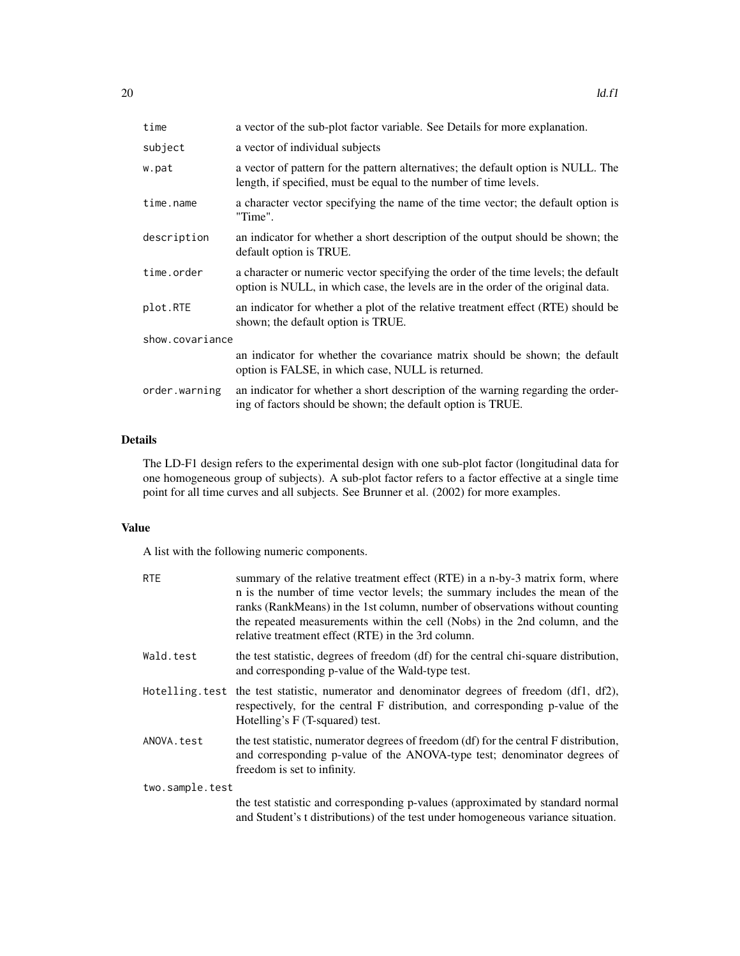| time            | a vector of the sub-plot factor variable. See Details for more explanation.                                                                                            |  |
|-----------------|------------------------------------------------------------------------------------------------------------------------------------------------------------------------|--|
| subject         | a vector of individual subjects                                                                                                                                        |  |
| w.pat           | a vector of pattern for the pattern alternatives; the default option is NULL. The<br>length, if specified, must be equal to the number of time levels.                 |  |
| time.name       | a character vector specifying the name of the time vector; the default option is<br>"Time".                                                                            |  |
| description     | an indicator for whether a short description of the output should be shown; the<br>default option is TRUE.                                                             |  |
| time.order      | a character or numeric vector specifying the order of the time levels; the default<br>option is NULL, in which case, the levels are in the order of the original data. |  |
| plot.RTE        | an indicator for whether a plot of the relative treatment effect (RTE) should be<br>shown; the default option is TRUE.                                                 |  |
| show.covariance |                                                                                                                                                                        |  |
|                 | an indicator for whether the covariance matrix should be shown; the default<br>option is FALSE, in which case, NULL is returned.                                       |  |
| order.warning   | an indicator for whether a short description of the warning regarding the order-<br>ing of factors should be shown; the default option is TRUE.                        |  |

## Details

The LD-F1 design refers to the experimental design with one sub-plot factor (longitudinal data for one homogeneous group of subjects). A sub-plot factor refers to a factor effective at a single time point for all time curves and all subjects. See Brunner et al. (2002) for more examples.

## Value

A list with the following numeric components.

| <b>RTE</b>      | summary of the relative treatment effect (RTE) in a n-by-3 matrix form, where<br>n is the number of time vector levels; the summary includes the mean of the<br>ranks (RankMeans) in the 1st column, number of observations without counting<br>the repeated measurements within the cell (Nobs) in the 2nd column, and the<br>relative treatment effect (RTE) in the 3rd column. |
|-----------------|-----------------------------------------------------------------------------------------------------------------------------------------------------------------------------------------------------------------------------------------------------------------------------------------------------------------------------------------------------------------------------------|
| Wald.test       | the test statistic, degrees of freedom (df) for the central chi-square distribution,<br>and corresponding p-value of the Wald-type test.                                                                                                                                                                                                                                          |
|                 | Hotelling test the test statistic, numerator and denominator degrees of freedom $(df1, df2)$ ,<br>respectively, for the central F distribution, and corresponding p-value of the<br>Hotelling's F (T-squared) test.                                                                                                                                                               |
| ANOVA.test      | the test statistic, numerator degrees of freedom (df) for the central F distribution,<br>and corresponding p-value of the ANOVA-type test; denominator degrees of<br>freedom is set to infinity.                                                                                                                                                                                  |
| two.sample.test |                                                                                                                                                                                                                                                                                                                                                                                   |
|                 | the test statistic and corresponding p-values (approximated by standard normal<br>and Student's t distributions) of the test under homogeneous variance situation.                                                                                                                                                                                                                |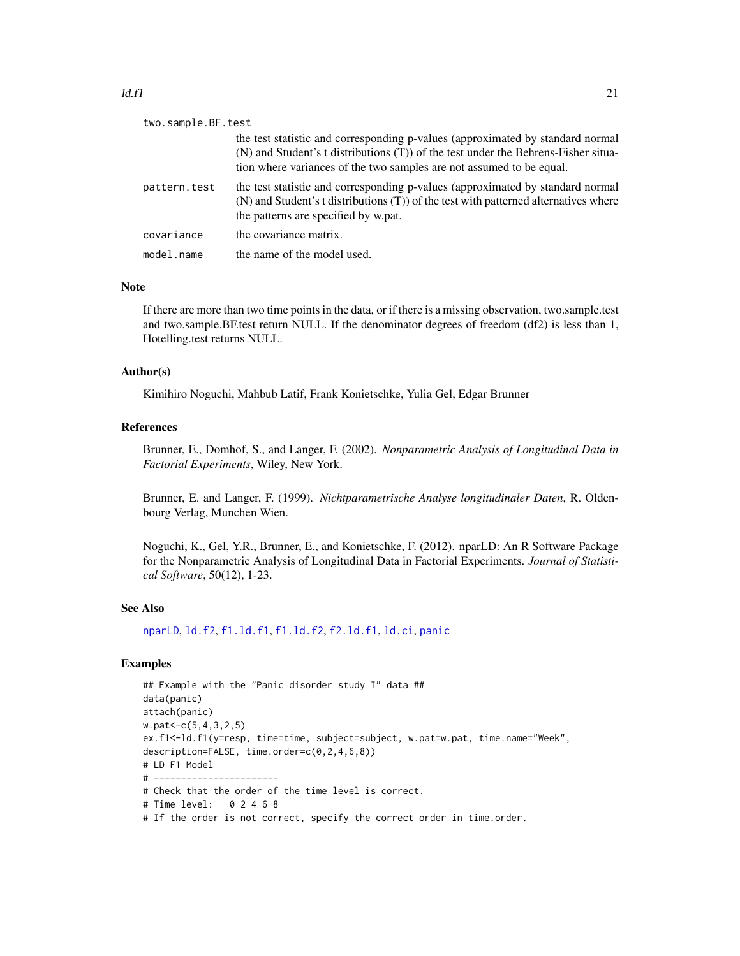#### <span id="page-20-0"></span> $ld.f1$  21

| two.sample.BF.test |                                                                                                                                                                                                                                              |
|--------------------|----------------------------------------------------------------------------------------------------------------------------------------------------------------------------------------------------------------------------------------------|
|                    | the test statistic and corresponding p-values (approximated by standard normal<br>(N) and Student's t distributions (T)) of the test under the Behrens-Fisher situa-<br>tion where variances of the two samples are not assumed to be equal. |
| pattern.test       | the test statistic and corresponding p-values (approximated by standard normal<br>$(N)$ and Student's t distributions $(T)$ of the test with patterned alternatives where<br>the patterns are specified by w.pat.                            |
| covariance         | the covariance matrix.                                                                                                                                                                                                                       |
| model.name         | the name of the model used.                                                                                                                                                                                                                  |

## Note

If there are more than two time points in the data, or if there is a missing observation, two.sample.test and two.sample.BF.test return NULL. If the denominator degrees of freedom (df2) is less than 1, Hotelling.test returns NULL.

#### Author(s)

Kimihiro Noguchi, Mahbub Latif, Frank Konietschke, Yulia Gel, Edgar Brunner

#### References

Brunner, E., Domhof, S., and Langer, F. (2002). *Nonparametric Analysis of Longitudinal Data in Factorial Experiments*, Wiley, New York.

Brunner, E. and Langer, F. (1999). *Nichtparametrische Analyse longitudinaler Daten*, R. Oldenbourg Verlag, Munchen Wien.

Noguchi, K., Gel, Y.R., Brunner, E., and Konietschke, F. (2012). nparLD: An R Software Package for the Nonparametric Analysis of Longitudinal Data in Factorial Experiments. *Journal of Statistical Software*, 50(12), 1-23.

#### See Also

[nparLD](#page-23-1), [ld.f2](#page-21-1), [f1.ld.f1](#page-6-1), [f1.ld.f2](#page-9-1), [f2.ld.f1](#page-12-1), [ld.ci](#page-16-1), [panic](#page-29-1)

```
## Example with the "Panic disorder study I" data ##
data(panic)
attach(panic)
w.pat < -c(5, 4, 3, 2, 5)ex.f1<-ld.f1(y=resp, time=time, subject=subject, w.pat=w.pat, time.name="Week",
description=FALSE, time.order=c(0,2,4,6,8))
# LD F1 Model
# -----------------------
# Check that the order of the time level is correct.
# Time level: 0 2 4 6 8
# If the order is not correct, specify the correct order in time.order.
```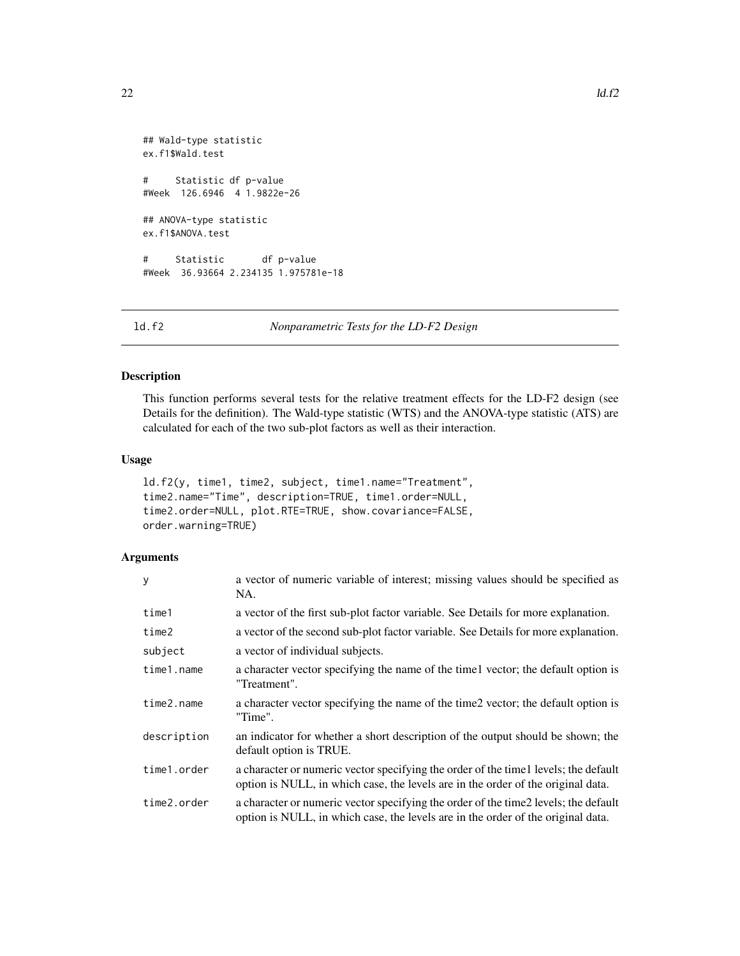```
## Wald-type statistic
ex.f1$Wald.test
# Statistic df p-value
#Week 126.6946 4 1.9822e-26
## ANOVA-type statistic
```

```
# Statistic df p-value
#Week 36.93664 2.234135 1.975781e-18
```
ex.f1\$ANOVA.test

<span id="page-21-1"></span>ld.f2 *Nonparametric Tests for the LD-F2 Design*

#### Description

This function performs several tests for the relative treatment effects for the LD-F2 design (see Details for the definition). The Wald-type statistic (WTS) and the ANOVA-type statistic (ATS) are calculated for each of the two sub-plot factors as well as their interaction.

## Usage

```
ld.f2(y, time1, time2, subject, time1.name="Treatment",
time2.name="Time", description=TRUE, time1.order=NULL,
time2.order=NULL, plot.RTE=TRUE, show.covariance=FALSE,
order.warning=TRUE)
```
## Arguments

| y           | a vector of numeric variable of interest; missing values should be specified as<br>NA.                                                                                   |
|-------------|--------------------------------------------------------------------------------------------------------------------------------------------------------------------------|
| time1       | a vector of the first sub-plot factor variable. See Details for more explanation.                                                                                        |
| time2       | a vector of the second sub-plot factor variable. See Details for more explanation.                                                                                       |
| subject     | a vector of individual subjects.                                                                                                                                         |
| time1.name  | a character vector specifying the name of the time l vector; the default option is<br>"Treatment".                                                                       |
| time2.name  | a character vector specifying the name of the time 2 vector; the default option is<br>"Time".                                                                            |
| description | an indicator for whether a short description of the output should be shown; the<br>default option is TRUE.                                                               |
| time1.order | a character or numeric vector specifying the order of the time l levels; the default<br>option is NULL, in which case, the levels are in the order of the original data. |
| time2.order | a character or numeric vector specifying the order of the time 2 levels; the default<br>option is NULL, in which case, the levels are in the order of the original data. |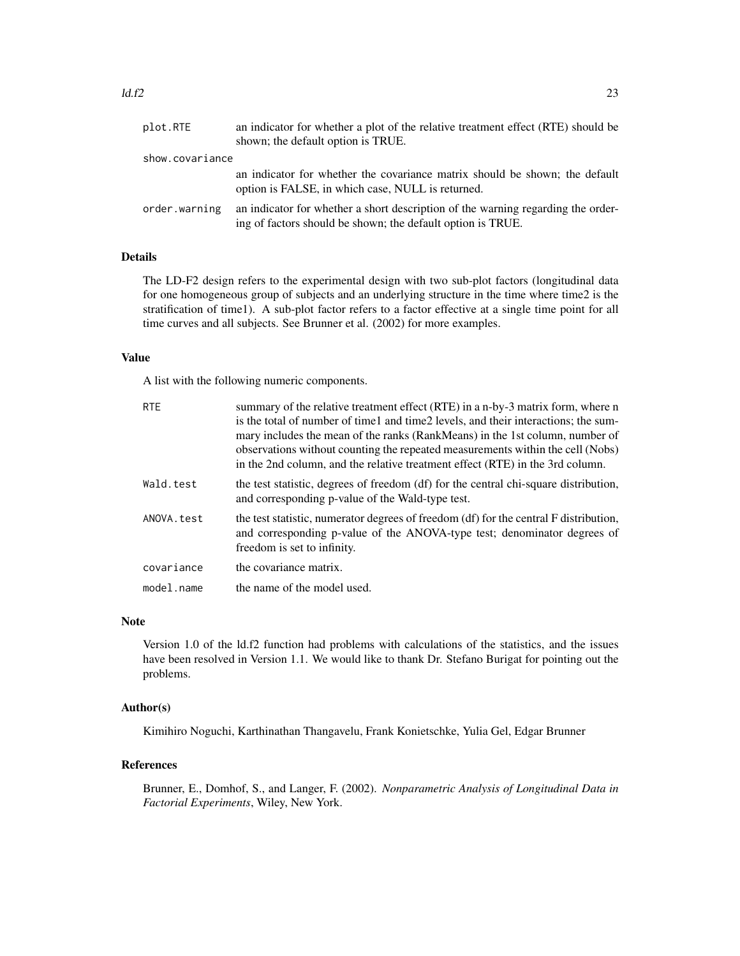| plot.RTE        | an indicator for whether a plot of the relative treatment effect (RTE) should be<br>shown; the default option is TRUE.                          |
|-----------------|-------------------------------------------------------------------------------------------------------------------------------------------------|
| show.covariance |                                                                                                                                                 |
|                 | an indicator for whether the covariance matrix should be shown; the default<br>option is FALSE, in which case, NULL is returned.                |
| order.warning   | an indicator for whether a short description of the warning regarding the order-<br>ing of factors should be shown; the default option is TRUE. |

#### Details

The LD-F2 design refers to the experimental design with two sub-plot factors (longitudinal data for one homogeneous group of subjects and an underlying structure in the time where time2 is the stratification of time1). A sub-plot factor refers to a factor effective at a single time point for all time curves and all subjects. See Brunner et al. (2002) for more examples.

#### Value

A list with the following numeric components.

| <b>RTE</b> | summary of the relative treatment effect (RTE) in a n-by-3 matrix form, where n                                                                                                                                                                 |
|------------|-------------------------------------------------------------------------------------------------------------------------------------------------------------------------------------------------------------------------------------------------|
|            | is the total of number of time1 and time2 levels, and their interactions; the sum-                                                                                                                                                              |
|            | mary includes the mean of the ranks (RankMeans) in the 1st column, number of<br>observations without counting the repeated measurements within the cell (Nobs)<br>in the 2nd column, and the relative treatment effect (RTE) in the 3rd column. |
| Wald.test  | the test statistic, degrees of freedom (df) for the central chi-square distribution,<br>and corresponding p-value of the Wald-type test.                                                                                                        |
| ANOVA.test | the test statistic, numerator degrees of freedom (df) for the central F distribution,<br>and corresponding p-value of the ANOVA-type test; denominator degrees of<br>freedom is set to infinity.                                                |
| covariance | the covariance matrix.                                                                                                                                                                                                                          |
| model.name | the name of the model used.                                                                                                                                                                                                                     |

### Note

Version 1.0 of the ld.f2 function had problems with calculations of the statistics, and the issues have been resolved in Version 1.1. We would like to thank Dr. Stefano Burigat for pointing out the problems.

#### Author(s)

Kimihiro Noguchi, Karthinathan Thangavelu, Frank Konietschke, Yulia Gel, Edgar Brunner

## References

Brunner, E., Domhof, S., and Langer, F. (2002). *Nonparametric Analysis of Longitudinal Data in Factorial Experiments*, Wiley, New York.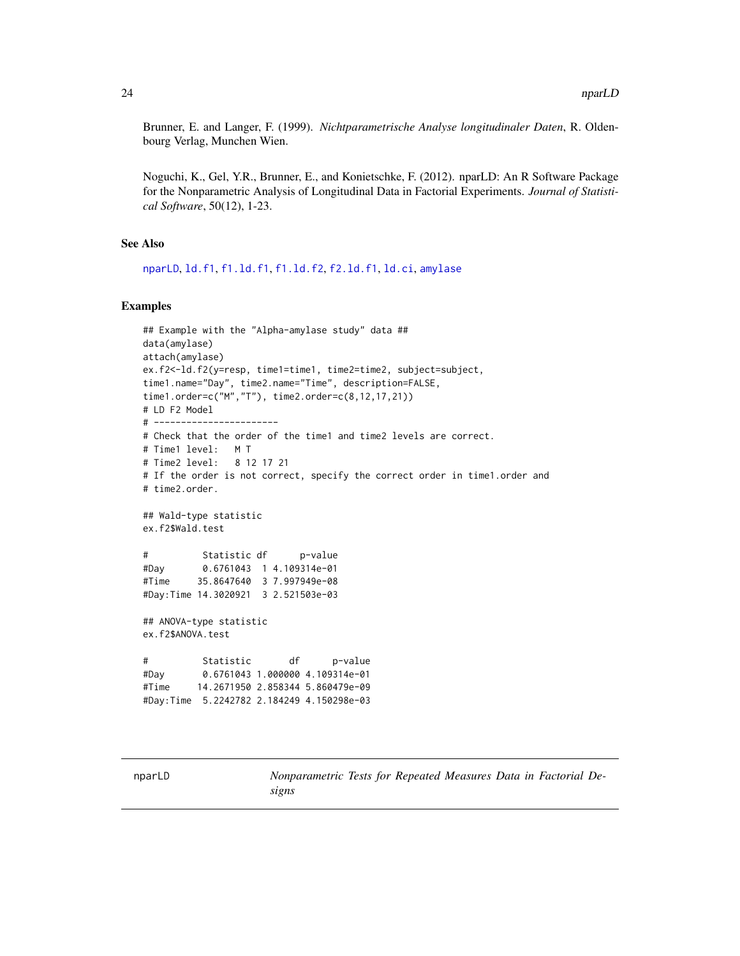<span id="page-23-0"></span>Brunner, E. and Langer, F. (1999). *Nichtparametrische Analyse longitudinaler Daten*, R. Oldenbourg Verlag, Munchen Wien.

Noguchi, K., Gel, Y.R., Brunner, E., and Konietschke, F. (2012). nparLD: An R Software Package for the Nonparametric Analysis of Longitudinal Data in Factorial Experiments. *Journal of Statistical Software*, 50(12), 1-23.

#### See Also

[nparLD](#page-23-1), [ld.f1](#page-18-1), [f1.ld.f1](#page-6-1), [f1.ld.f2](#page-9-1), [f2.ld.f1](#page-12-1), [ld.ci](#page-16-1), [amylase](#page-1-1)

#### Examples

```
## Example with the "Alpha-amylase study" data ##
data(amylase)
attach(amylase)
ex.f2<-ld.f2(y=resp, time1=time1, time2=time2, subject=subject,
time1.name="Day", time2.name="Time", description=FALSE,
time1.order=c("M","T"), time2.order=c(8,12,17,21))
# LD F2 Model
# -----------------------
# Check that the order of the time1 and time2 levels are correct.
# Time1 level: M T
# Time2 level: 8 12 17 21
# If the order is not correct, specify the correct order in time1.order and
# time2.order.
## Wald-type statistic
ex.f2$Wald.test
# Statistic df p-value
#Day 0.6761043 1 4.109314e-01
#Time 35.8647640 3 7.997949e-08
#Day:Time 14.3020921 3 2.521503e-03
## ANOVA-type statistic
ex.f2$ANOVA.test
# Statistic df p-value
#Day 0.6761043 1.000000 4.109314e-01
#Time 14.2671950 2.858344 5.860479e-09
#Day:Time 5.2242782 2.184249 4.150298e-03
```
<span id="page-23-1"></span>

Nonparametric Tests for Repeated Measures Data in Factorial De*signs*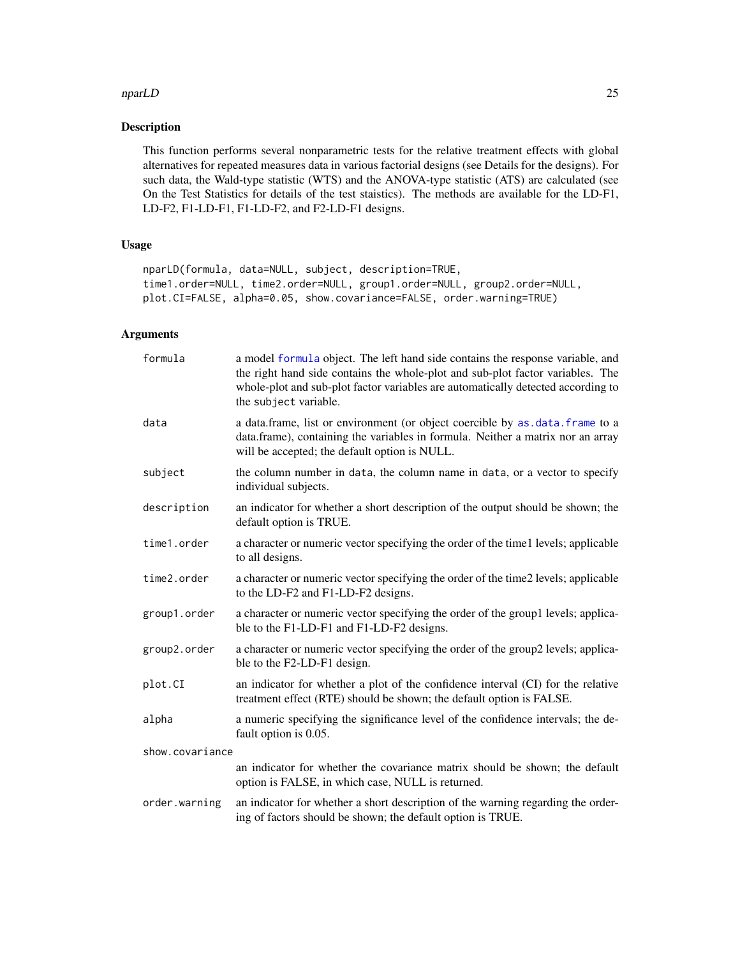#### <span id="page-24-0"></span>nparLD 25

## Description

This function performs several nonparametric tests for the relative treatment effects with global alternatives for repeated measures data in various factorial designs (see Details for the designs). For such data, the Wald-type statistic (WTS) and the ANOVA-type statistic (ATS) are calculated (see On the Test Statistics for details of the test staistics). The methods are available for the LD-F1, LD-F2, F1-LD-F1, F1-LD-F2, and F2-LD-F1 designs.

## Usage

```
nparLD(formula, data=NULL, subject, description=TRUE,
time1.order=NULL, time2.order=NULL, group1.order=NULL, group2.order=NULL,
plot.CI=FALSE, alpha=0.05, show.covariance=FALSE, order.warning=TRUE)
```
## Arguments

| formula         | a model formula object. The left hand side contains the response variable, and<br>the right hand side contains the whole-plot and sub-plot factor variables. The<br>whole-plot and sub-plot factor variables are automatically detected according to<br>the subject variable. |
|-----------------|-------------------------------------------------------------------------------------------------------------------------------------------------------------------------------------------------------------------------------------------------------------------------------|
| data            | a data.frame, list or environment (or object coercible by as .data.frame to a<br>data.frame), containing the variables in formula. Neither a matrix nor an array<br>will be accepted; the default option is NULL.                                                             |
| subject         | the column number in data, the column name in data, or a vector to specify<br>individual subjects.                                                                                                                                                                            |
| description     | an indicator for whether a short description of the output should be shown; the<br>default option is TRUE.                                                                                                                                                                    |
| time1.order     | a character or numeric vector specifying the order of the time1 levels; applicable<br>to all designs.                                                                                                                                                                         |
| time2.order     | a character or numeric vector specifying the order of the time2 levels; applicable<br>to the LD-F2 and F1-LD-F2 designs.                                                                                                                                                      |
| group1.order    | a character or numeric vector specifying the order of the group1 levels; applica-<br>ble to the F1-LD-F1 and F1-LD-F2 designs.                                                                                                                                                |
| group2.order    | a character or numeric vector specifying the order of the group2 levels; applica-<br>ble to the F2-LD-F1 design.                                                                                                                                                              |
| plot.CI         | an indicator for whether a plot of the confidence interval (CI) for the relative<br>treatment effect (RTE) should be shown; the default option is FALSE.                                                                                                                      |
| alpha           | a numeric specifying the significance level of the confidence intervals; the de-<br>fault option is 0.05.                                                                                                                                                                     |
| show.covariance |                                                                                                                                                                                                                                                                               |
|                 | an indicator for whether the covariance matrix should be shown; the default<br>option is FALSE, in which case, NULL is returned.                                                                                                                                              |
| order.warning   | an indicator for whether a short description of the warning regarding the order-<br>ing of factors should be shown; the default option is TRUE.                                                                                                                               |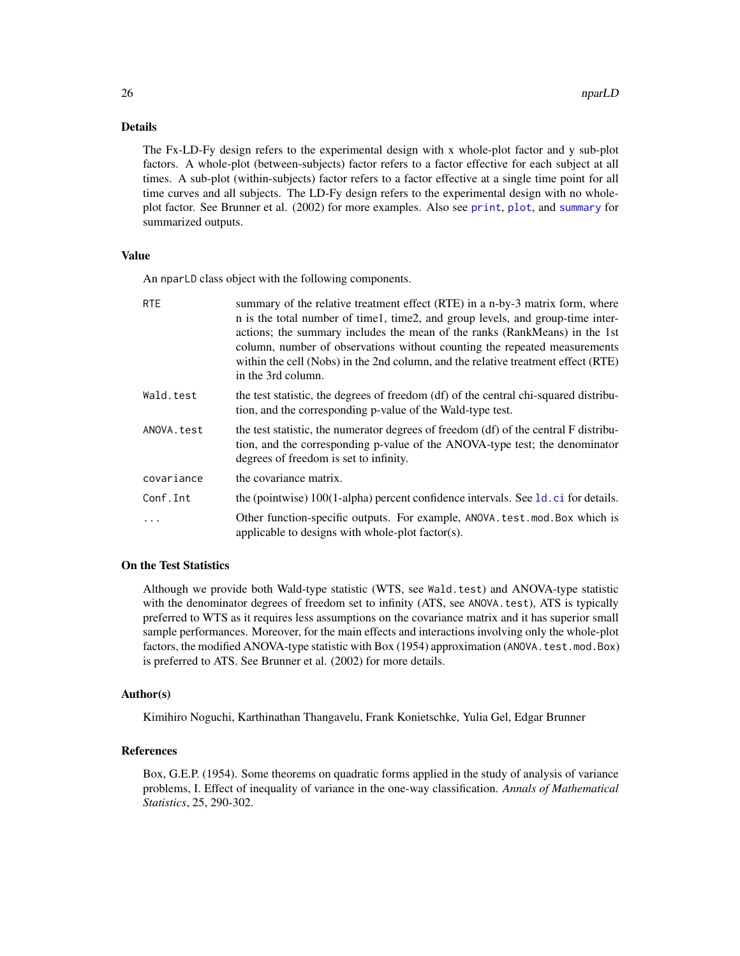#### <span id="page-25-0"></span>Details

The Fx-LD-Fy design refers to the experimental design with x whole-plot factor and y sub-plot factors. A whole-plot (between-subjects) factor refers to a factor effective for each subject at all times. A sub-plot (within-subjects) factor refers to a factor effective at a single time point for all time curves and all subjects. The LD-Fy design refers to the experimental design with no wholeplot factor. See Brunner et al. (2002) for more examples. Also see [print](#page-35-1), [plot](#page-33-1), and [summary](#page-44-1) for summarized outputs.

#### Value

An nparLD class object with the following components.

| <b>RTE</b> | summary of the relative treatment effect (RTE) in a n-by-3 matrix form, where<br>n is the total number of time1, time2, and group levels, and group-time inter-<br>actions; the summary includes the mean of the ranks (RankMeans) in the 1st<br>column, number of observations without counting the repeated measurements<br>within the cell (Nobs) in the 2nd column, and the relative treatment effect (RTE)<br>in the 3rd column. |
|------------|---------------------------------------------------------------------------------------------------------------------------------------------------------------------------------------------------------------------------------------------------------------------------------------------------------------------------------------------------------------------------------------------------------------------------------------|
| Wald.test  | the test statistic, the degrees of freedom (df) of the central chi-squared distribu-<br>tion, and the corresponding p-value of the Wald-type test.                                                                                                                                                                                                                                                                                    |
| ANOVA.test | the test statistic, the numerator degrees of freedom (df) of the central F distribu-<br>tion, and the corresponding p-value of the ANOVA-type test; the denominator<br>degrees of freedom is set to infinity.                                                                                                                                                                                                                         |
| covariance | the covariance matrix.                                                                                                                                                                                                                                                                                                                                                                                                                |
| Conf.Int   | the (pointwise) $100(1$ -alpha) percent confidence intervals. See 1d c i for details.                                                                                                                                                                                                                                                                                                                                                 |
| $\ddots$   | Other function-specific outputs. For example, ANOVA. test. mod. Box which is<br>applicable to designs with whole-plot factor(s).                                                                                                                                                                                                                                                                                                      |

## On the Test Statistics

Although we provide both Wald-type statistic (WTS, see Wald.test) and ANOVA-type statistic with the denominator degrees of freedom set to infinity (ATS, see ANOVA.test), ATS is typically preferred to WTS as it requires less assumptions on the covariance matrix and it has superior small sample performances. Moreover, for the main effects and interactions involving only the whole-plot factors, the modified ANOVA-type statistic with Box (1954) approximation (ANOVA. test. mod. Box) is preferred to ATS. See Brunner et al. (2002) for more details.

#### Author(s)

Kimihiro Noguchi, Karthinathan Thangavelu, Frank Konietschke, Yulia Gel, Edgar Brunner

#### References

Box, G.E.P. (1954). Some theorems on quadratic forms applied in the study of analysis of variance problems, I. Effect of inequality of variance in the one-way classification. *Annals of Mathematical Statistics*, 25, 290-302.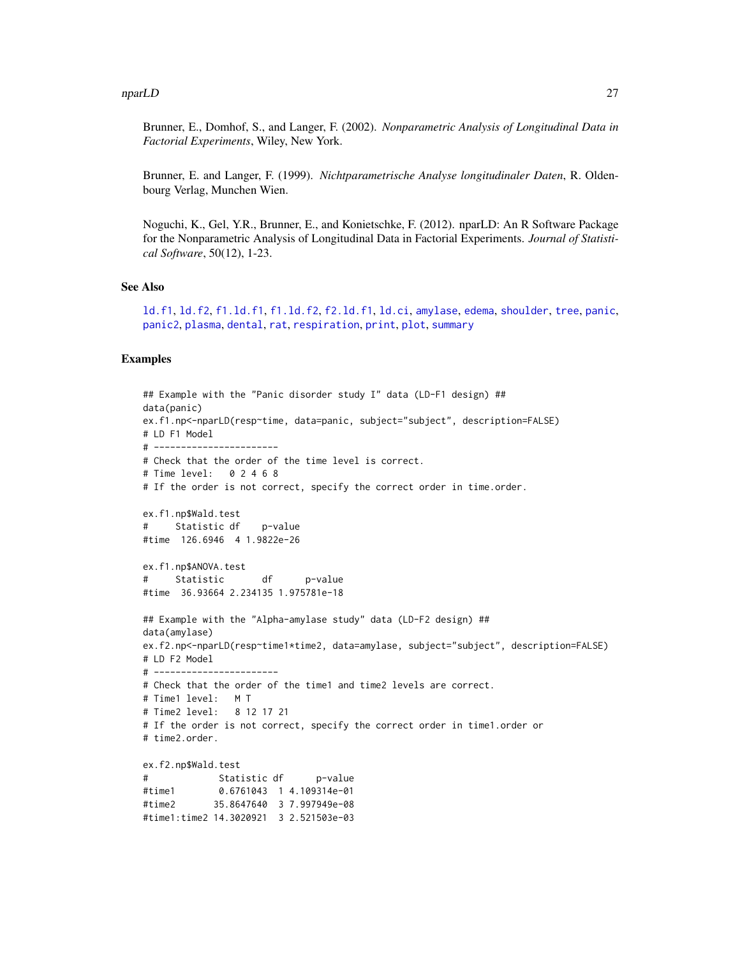<span id="page-26-0"></span>Brunner, E., Domhof, S., and Langer, F. (2002). *Nonparametric Analysis of Longitudinal Data in Factorial Experiments*, Wiley, New York.

Brunner, E. and Langer, F. (1999). *Nichtparametrische Analyse longitudinaler Daten*, R. Oldenbourg Verlag, Munchen Wien.

Noguchi, K., Gel, Y.R., Brunner, E., and Konietschke, F. (2012). nparLD: An R Software Package for the Nonparametric Analysis of Longitudinal Data in Factorial Experiments. *Journal of Statistical Software*, 50(12), 1-23.

## See Also

```
ld.f1, ld.f2, f1.ld.f1, f1.ld.f2, f2.ld.f1, ld.ci, amylase, edema, shoulder, tree, panic,
panic2, plasma, dental, rat, respiration, print, plot, summary
```

```
## Example with the "Panic disorder study I" data (LD-F1 design) ##
data(panic)
ex.f1.np<-nparLD(resp~time, data=panic, subject="subject", description=FALSE)
# LD F1 Model
# -----------------------
# Check that the order of the time level is correct.
# Time level: 0 2 4 6 8
# If the order is not correct, specify the correct order in time.order.
ex.f1.np$Wald.test
# Statistic df p-value
#time 126.6946 4 1.9822e-26
ex.f1.np$ANOVA.test
# Statistic df p-value
#time 36.93664 2.234135 1.975781e-18
## Example with the "Alpha-amylase study" data (LD-F2 design) ##
data(amylase)
ex.f2.np<-nparLD(resp~time1*time2, data=amylase, subject="subject", description=FALSE)
# LD F2 Model
# -----------------------
# Check that the order of the time1 and time2 levels are correct.
# Time1 level: M T
# Time2 level: 8 12 17 21
# If the order is not correct, specify the correct order in time1.order or
# time2.order.
ex.f2.np$Wald.test
# Statistic df p-value
#time1 0.6761043 1 4.109314e-01
#time2 35.8647640 3 7.997949e-08
#time1:time2 14.3020921 3 2.521503e-03
```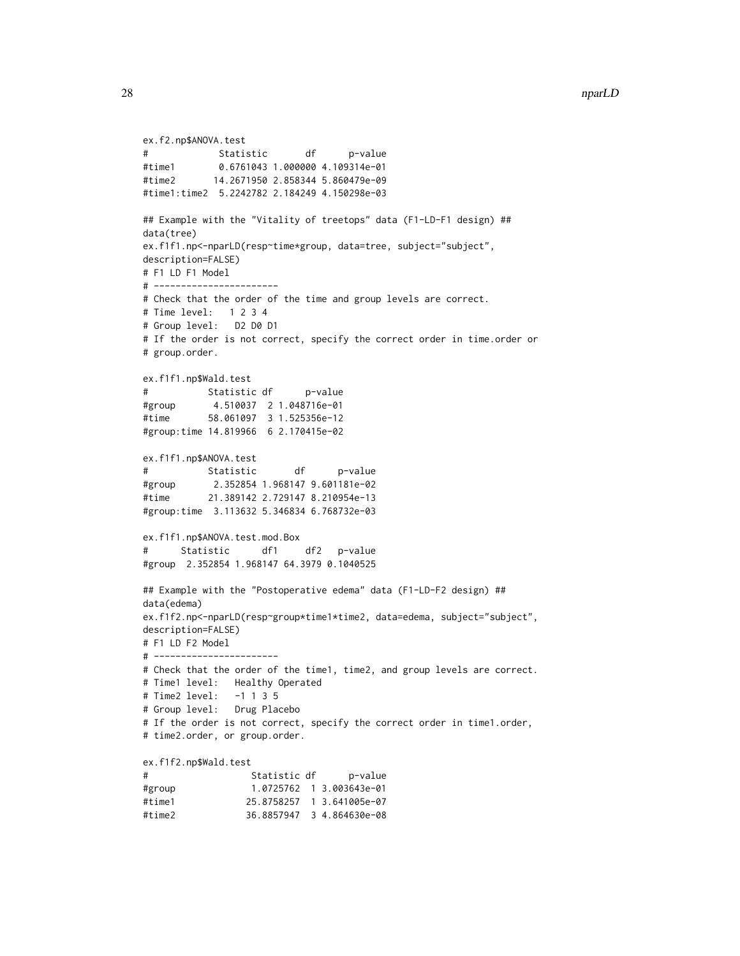```
ex.f2.np$ANOVA.test
# Statistic df p-value
#time1 0.6761043 1.000000 4.109314e-01
#time2 14.2671950 2.858344 5.860479e-09
#time1:time2 5.2242782 2.184249 4.150298e-03
## Example with the "Vitality of treetops" data (F1-LD-F1 design) ##
data(tree)
ex.f1f1.np<-nparLD(resp~time*group, data=tree, subject="subject",
description=FALSE)
# F1 LD F1 Model
# -----------------------
# Check that the order of the time and group levels are correct.
# Time level: 1 2 3 4
# Group level: D2 D0 D1
# If the order is not correct, specify the correct order in time.order or
# group.order.
ex.f1f1.np$Wald.test
# Statistic df p-value
#group 4.510037 2 1.048716e-01
#time 58.061097 3 1.525356e-12
#group:time 14.819966 6 2.170415e-02
ex.f1f1.np$ANOVA.test
# Statistic df p-value
#group 2.352854 1.968147 9.601181e-02
#time 21.389142 2.729147 8.210954e-13
#group:time 3.113632 5.346834 6.768732e-03
ex.f1f1.np$ANOVA.test.mod.Box
# Statistic df1 df2 p-value
#group 2.352854 1.968147 64.3979 0.1040525
## Example with the "Postoperative edema" data (F1-LD-F2 design) ##
data(edema)
ex.f1f2.np<-nparLD(resp~group*time1*time2, data=edema, subject="subject",
description=FALSE)
# F1 LD F2 Model
# -----------------------
# Check that the order of the time1, time2, and group levels are correct.
# Time1 level: Healthy Operated
# Time2 level: -1 1 3 5
# Group level: Drug Placebo
# If the order is not correct, specify the correct order in time1.order,
# time2.order, or group.order.
ex.f1f2.np$Wald.test
# Statistic df p-value
#group 1.0725762 1 3.003643e-01
#time1 25.8758257 1 3.641005e-07
#time2 36.8857947 3 4.864630e-08
```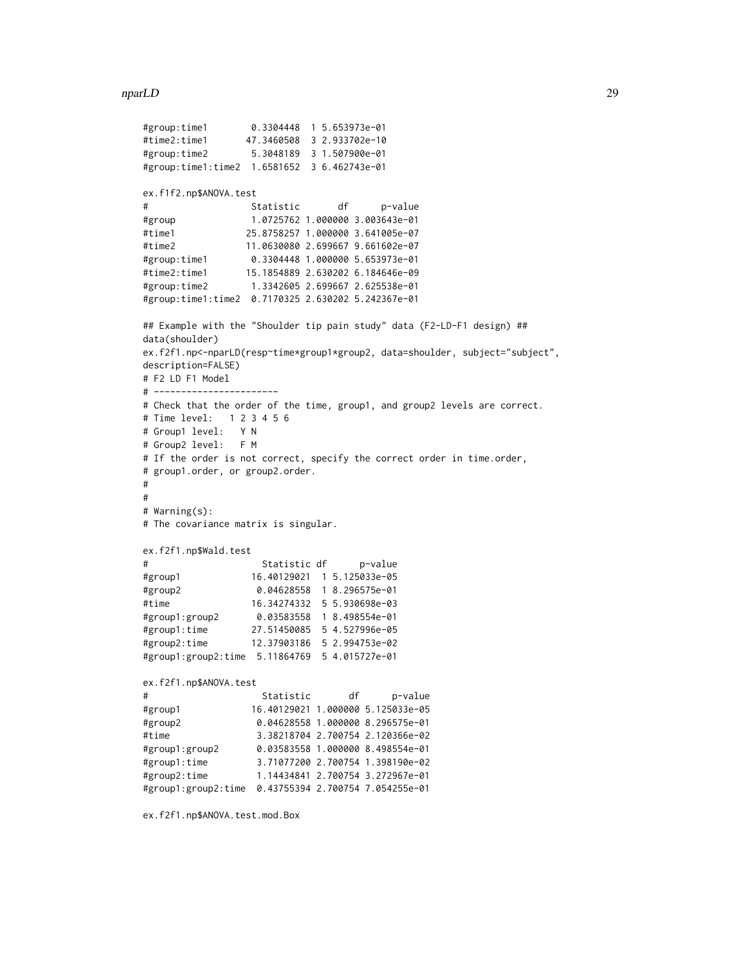nparLD 29

```
#group:time1 0.3304448 1 5.653973e-01
#time2:time1 47.3460508 3 2.933702e-10
#group:time2 5.3048189 3 1.507900e-01
#group:time1:time2 1.6581652 3 6.462743e-01
ex.f1f2.np$ANOVA.test
# Statistic df p-value
#group 1.0725762 1.000000 3.003643e-01
#time1 25.8758257 1.000000 3.641005e-07
#time2 11.0630080 2.699667 9.661602e-07
#group:time1 0.3304448 1.000000 5.653973e-01
#time2:time1 15.1854889 2.630202 6.184646e-09
#group:time2 1.3342605 2.699667 2.625538e-01
#group:time1:time2 0.7170325 2.630202 5.242367e-01
## Example with the "Shoulder tip pain study" data (F2-LD-F1 design) ##
data(shoulder)
ex.f2f1.np<-nparLD(resp~time*group1*group2, data=shoulder, subject="subject",
description=FALSE)
# F2 LD F1 Model
# -----------------------
# Check that the order of the time, group1, and group2 levels are correct.
# Time level: 1 2 3 4 5 6
# Group1 level: Y N
# Group2 level: F M
# If the order is not correct, specify the correct order in time.order,
# group1.order, or group2.order.
#
#
# Warning(s):
# The covariance matrix is singular.
ex.f2f1.np$Wald.test
# Statistic df p-value
#group1 16.40129021 1 5.125033e-05
#group2 0.04628558 1 8.296575e-01
#time 16.34274332 5 5.930698e-03
#group1:group2 0.03583558 1 8.498554e-01
#group1:time 27.51450085 5 4.527996e-05
#group2:time 12.37903186 5 2.994753e-02
#group1:group2:time 5.11864769 5 4.015727e-01
ex.f2f1.np$ANOVA.test
# Statistic df p-value
#group1 16.40129021 1.000000 5.125033e-05
#group2 0.04628558 1.000000 8.296575e-01
#time 3.38218704 2.700754 2.120366e-02
#group1:group2 0.03583558 1.000000 8.498554e-01
#group1:time 3.71077200 2.700754 1.398190e-02
#group2:time 1.14434841 2.700754 3.272967e-01
#group1:group2:time 0.43755394 2.700754 7.054255e-01
```
ex.f2f1.np\$ANOVA.test.mod.Box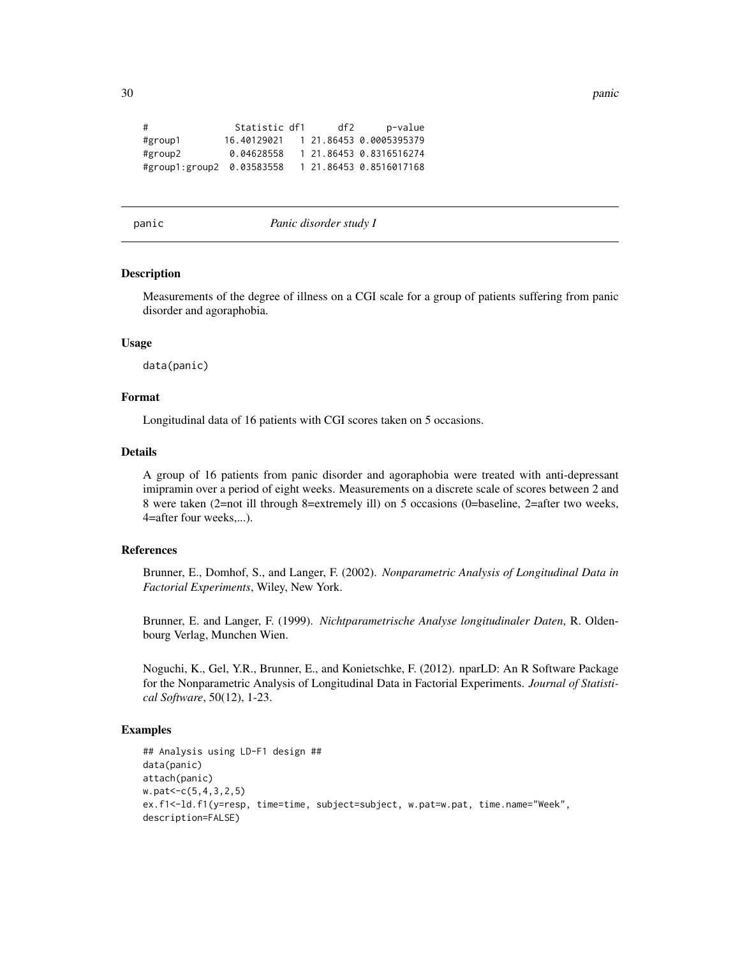```
# Statistic df1 df2 p-value
#group1 16.40129021 1 21.86453 0.0005395379
#group2 0.04628558 1 21.86453 0.8316516274
#group1:group2 0.03583558 1 21.86453 0.8516017168
```
panic *Panic disorder study I*

#### **Description**

Measurements of the degree of illness on a CGI scale for a group of patients suffering from panic disorder and agoraphobia.

#### Usage

data(panic)

### Format

Longitudinal data of 16 patients with CGI scores taken on 5 occasions.

#### Details

A group of 16 patients from panic disorder and agoraphobia were treated with anti-depressant imipramin over a period of eight weeks. Measurements on a discrete scale of scores between 2 and 8 were taken (2=not ill through 8=extremely ill) on 5 occasions (0=baseline, 2=after two weeks, 4=after four weeks,...).

## References

Brunner, E., Domhof, S., and Langer, F. (2002). *Nonparametric Analysis of Longitudinal Data in Factorial Experiments*, Wiley, New York.

Brunner, E. and Langer, F. (1999). *Nichtparametrische Analyse longitudinaler Daten*, R. Oldenbourg Verlag, Munchen Wien.

Noguchi, K., Gel, Y.R., Brunner, E., and Konietschke, F. (2012). nparLD: An R Software Package for the Nonparametric Analysis of Longitudinal Data in Factorial Experiments. *Journal of Statistical Software*, 50(12), 1-23.

#### Examples

```
## Analysis using LD-F1 design ##
data(panic)
attach(panic)
w.pat<-c(5,4,3,2,5)
ex.f1<-ld.f1(y=resp, time=time, subject=subject, w.pat=w.pat, time.name="Week",
description=FALSE)
```
<span id="page-29-0"></span>30 panic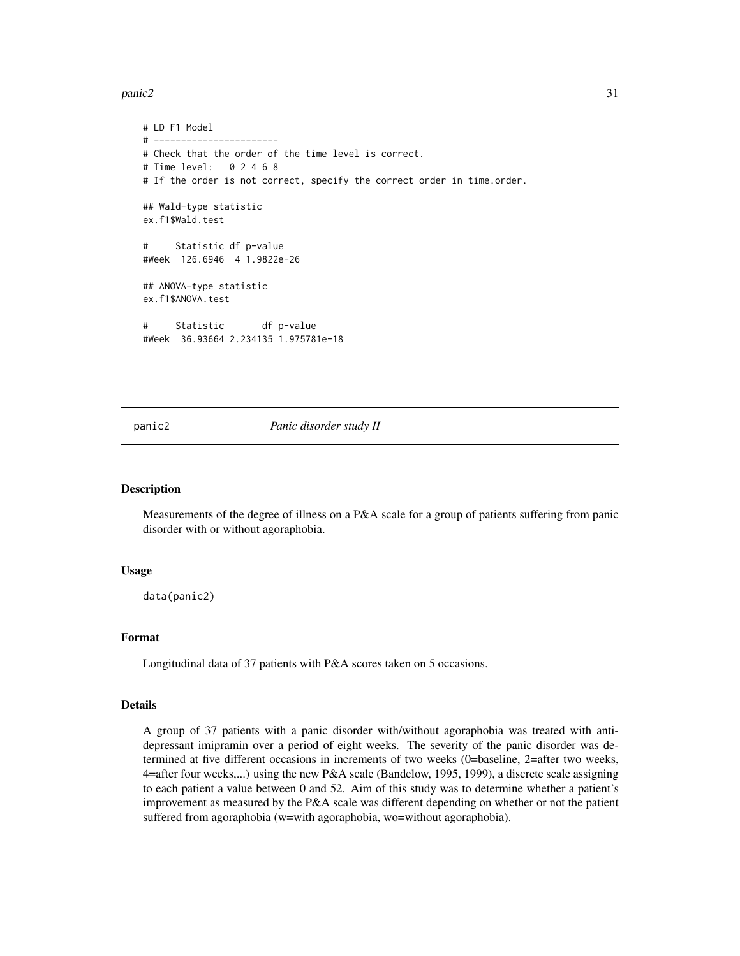#### <span id="page-30-0"></span> $panic2$  31

```
# LD F1 Model
# -----------------------
# Check that the order of the time level is correct.
# Time level: 0 2 4 6 8
# If the order is not correct, specify the correct order in time.order.
## Wald-type statistic
ex.f1$Wald.test
# Statistic df p-value
#Week 126.6946 4 1.9822e-26
## ANOVA-type statistic
ex.f1$ANOVA.test
# Statistic df p-value
#Week 36.93664 2.234135 1.975781e-18
```
<span id="page-30-1"></span>

#### panic2 *Panic disorder study II*

#### Description

Measurements of the degree of illness on a P&A scale for a group of patients suffering from panic disorder with or without agoraphobia.

## Usage

data(panic2)

### Format

Longitudinal data of 37 patients with P&A scores taken on 5 occasions.

## Details

A group of 37 patients with a panic disorder with/without agoraphobia was treated with antidepressant imipramin over a period of eight weeks. The severity of the panic disorder was determined at five different occasions in increments of two weeks (0=baseline, 2=after two weeks, 4=after four weeks,...) using the new P&A scale (Bandelow, 1995, 1999), a discrete scale assigning to each patient a value between 0 and 52. Aim of this study was to determine whether a patient's improvement as measured by the P&A scale was different depending on whether or not the patient suffered from agoraphobia (w=with agoraphobia, wo=without agoraphobia).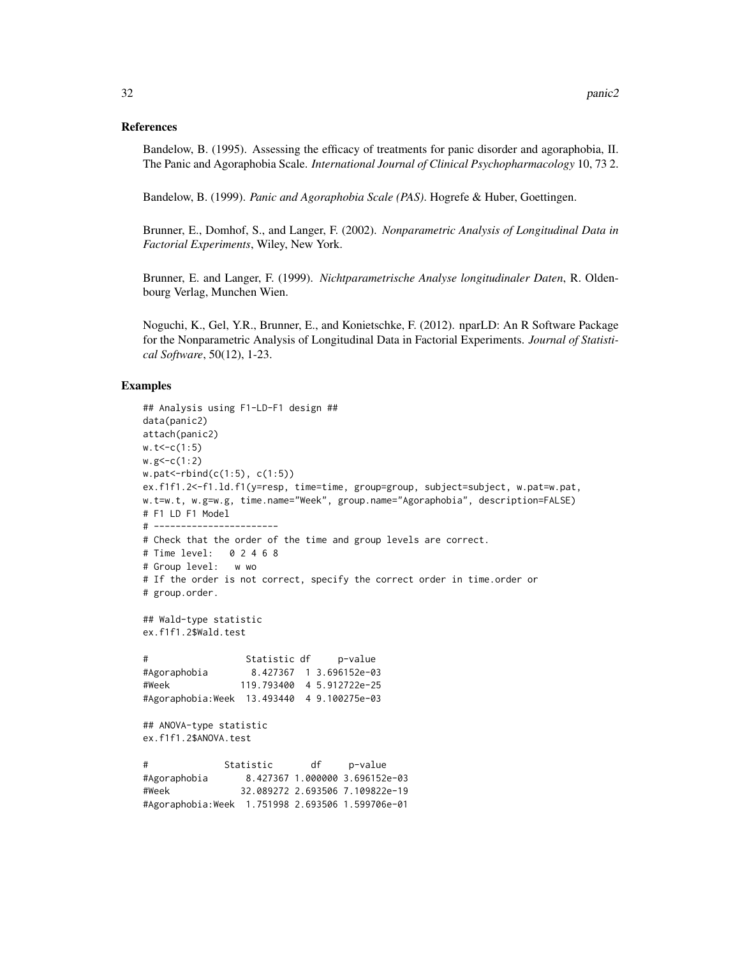#### References

Bandelow, B. (1995). Assessing the efficacy of treatments for panic disorder and agoraphobia, II. The Panic and Agoraphobia Scale. *International Journal of Clinical Psychopharmacology* 10, 73 2.

Bandelow, B. (1999). *Panic and Agoraphobia Scale (PAS)*. Hogrefe & Huber, Goettingen.

Brunner, E., Domhof, S., and Langer, F. (2002). *Nonparametric Analysis of Longitudinal Data in Factorial Experiments*, Wiley, New York.

Brunner, E. and Langer, F. (1999). *Nichtparametrische Analyse longitudinaler Daten*, R. Oldenbourg Verlag, Munchen Wien.

Noguchi, K., Gel, Y.R., Brunner, E., and Konietschke, F. (2012). nparLD: An R Software Package for the Nonparametric Analysis of Longitudinal Data in Factorial Experiments. *Journal of Statistical Software*, 50(12), 1-23.

```
## Analysis using F1-LD-F1 design ##
data(panic2)
attach(panic2)
w.t < -c(1:5)w.g < -c(1:2)w.path <-rbind(c(1:5), c(1:5))
ex.f1f1.2<-f1.ld.f1(y=resp, time=time, group=group, subject=subject, w.pat=w.pat,
w.t=w.t, w.g=w.g, time.name="Week", group.name="Agoraphobia", description=FALSE)
# F1 LD F1 Model
# -----------------------
# Check that the order of the time and group levels are correct.
# Time level: 0 2 4 6 8
# Group level: w wo
# If the order is not correct, specify the correct order in time.order or
# group.order.
## Wald-type statistic
ex.f1f1.2$Wald.test
# Statistic df p-value
#Agoraphobia 8.427367 1 3.696152e-03
#Week 119.793400 4 5.912722e-25
#Agoraphobia:Week 13.493440 4 9.100275e-03
## ANOVA-type statistic
ex.f1f1.2$ANOVA.test
# Statistic df p-value
#Agoraphobia 8.427367 1.000000 3.696152e-03
#Week 32.089272 2.693506 7.109822e-19
#Agoraphobia:Week 1.751998 2.693506 1.599706e-01
```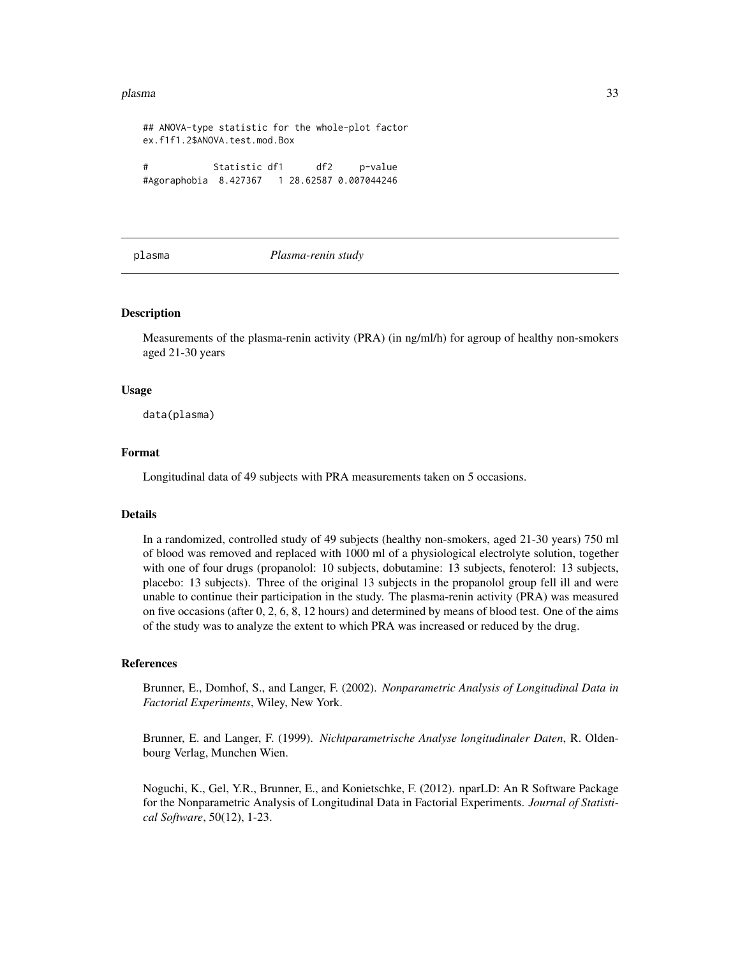#### <span id="page-32-0"></span>plasma 33

## ANOVA-type statistic for the whole-plot factor ex.f1f1.2\$ANOVA.test.mod.Box # Statistic df1 df2 p-value #Agoraphobia 8.427367 1 28.62587 0.007044246

<span id="page-32-1"></span>

#### plasma *Plasma-renin study*

#### Description

Measurements of the plasma-renin activity (PRA) (in ng/ml/h) for agroup of healthy non-smokers aged 21-30 years

#### Usage

data(plasma)

#### Format

Longitudinal data of 49 subjects with PRA measurements taken on 5 occasions.

#### Details

In a randomized, controlled study of 49 subjects (healthy non-smokers, aged 21-30 years) 750 ml of blood was removed and replaced with 1000 ml of a physiological electrolyte solution, together with one of four drugs (propanolol: 10 subjects, dobutamine: 13 subjects, fenoterol: 13 subjects, placebo: 13 subjects). Three of the original 13 subjects in the propanolol group fell ill and were unable to continue their participation in the study. The plasma-renin activity (PRA) was measured on five occasions (after 0, 2, 6, 8, 12 hours) and determined by means of blood test. One of the aims of the study was to analyze the extent to which PRA was increased or reduced by the drug.

## References

Brunner, E., Domhof, S., and Langer, F. (2002). *Nonparametric Analysis of Longitudinal Data in Factorial Experiments*, Wiley, New York.

Brunner, E. and Langer, F. (1999). *Nichtparametrische Analyse longitudinaler Daten*, R. Oldenbourg Verlag, Munchen Wien.

Noguchi, K., Gel, Y.R., Brunner, E., and Konietschke, F. (2012). nparLD: An R Software Package for the Nonparametric Analysis of Longitudinal Data in Factorial Experiments. *Journal of Statistical Software*, 50(12), 1-23.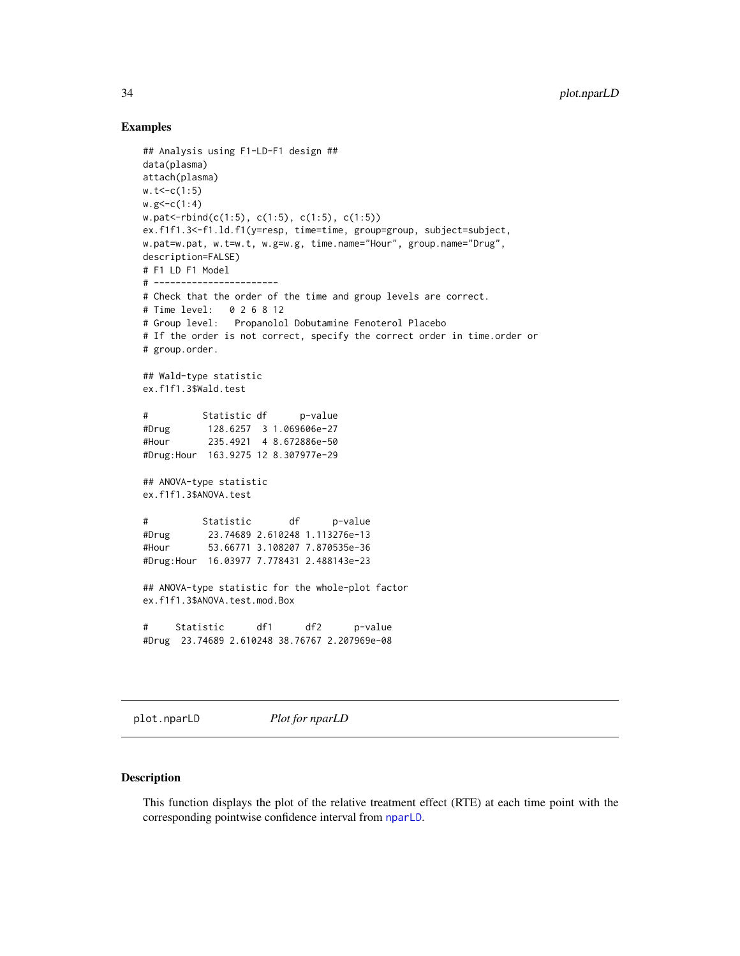## Examples

```
## Analysis using F1-LD-F1 design ##
data(plasma)
attach(plasma)
w.t < -c(1:5)w.g < -c(1:4)w.pat<-rbind(c(1:5), c(1:5), c(1:5), c(1:5))
ex.f1f1.3<-f1.ld.f1(y=resp, time=time, group=group, subject=subject,
w.pat=w.pat, w.t=w.t, w.g=w.g, time.name="Hour", group.name="Drug",
description=FALSE)
# F1 LD F1 Model
# -----------------------
# Check that the order of the time and group levels are correct.
# Time level: 0 2 6 8 12
# Group level: Propanolol Dobutamine Fenoterol Placebo
# If the order is not correct, specify the correct order in time.order or
# group.order.
## Wald-type statistic
ex.f1f1.3$Wald.test
# Statistic df p-value
#Drug 128.6257 3 1.069606e-27
#Hour 235.4921 4 8.672886e-50
#Drug:Hour 163.9275 12 8.307977e-29
## ANOVA-type statistic
ex.f1f1.3$ANOVA.test
# Statistic df p-value
#Drug 23.74689 2.610248 1.113276e-13
#Hour 53.66771 3.108207 7.870535e-36
#Drug:Hour 16.03977 7.778431 2.488143e-23
## ANOVA-type statistic for the whole-plot factor
ex.f1f1.3$ANOVA.test.mod.Box
# Statistic df1 df2 p-value
#Drug 23.74689 2.610248 38.76767 2.207969e-08
```
plot.nparLD *Plot for nparLD*

## <span id="page-33-1"></span>Description

This function displays the plot of the relative treatment effect (RTE) at each time point with the corresponding pointwise confidence interval from [nparLD](#page-23-1).

<span id="page-33-0"></span>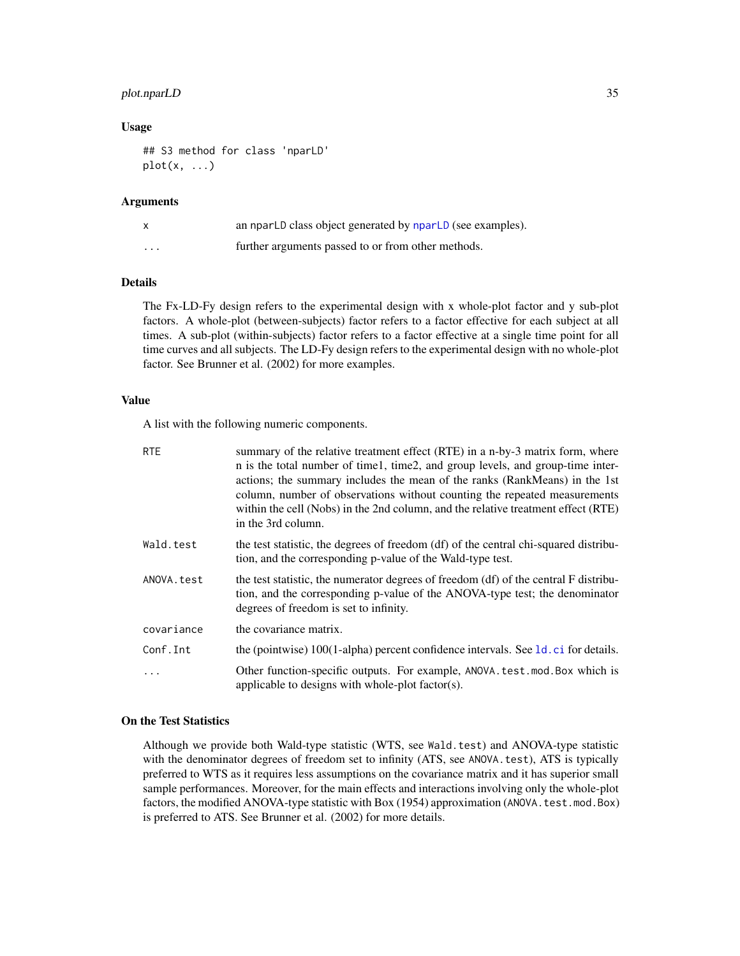## <span id="page-34-0"></span>plot.nparLD 35

#### Usage

```
## S3 method for class 'nparLD'
plot(x, \ldots)
```
#### Arguments

| X        | an nparLD class object generated by nparLD (see examples). |
|----------|------------------------------------------------------------|
| $\cdots$ | further arguments passed to or from other methods.         |

#### Details

The Fx-LD-Fy design refers to the experimental design with x whole-plot factor and y sub-plot factors. A whole-plot (between-subjects) factor refers to a factor effective for each subject at all times. A sub-plot (within-subjects) factor refers to a factor effective at a single time point for all time curves and all subjects. The LD-Fy design refers to the experimental design with no whole-plot factor. See Brunner et al. (2002) for more examples.

## Value

A list with the following numeric components.

| <b>RTE</b> | summary of the relative treatment effect (RTE) in a n-by-3 matrix form, where<br>n is the total number of time1, time2, and group levels, and group-time inter-<br>actions; the summary includes the mean of the ranks (RankMeans) in the 1st<br>column, number of observations without counting the repeated measurements<br>within the cell (Nobs) in the 2nd column, and the relative treatment effect (RTE)<br>in the 3rd column. |
|------------|---------------------------------------------------------------------------------------------------------------------------------------------------------------------------------------------------------------------------------------------------------------------------------------------------------------------------------------------------------------------------------------------------------------------------------------|
| Wald.test  | the test statistic, the degrees of freedom (df) of the central chi-squared distribu-<br>tion, and the corresponding p-value of the Wald-type test.                                                                                                                                                                                                                                                                                    |
| ANOVA.test | the test statistic, the numerator degrees of freedom (df) of the central F distribu-<br>tion, and the corresponding p-value of the ANOVA-type test; the denominator<br>degrees of freedom is set to infinity.                                                                                                                                                                                                                         |
| covariance | the covariance matrix.                                                                                                                                                                                                                                                                                                                                                                                                                |
| Conf.Int   | the (pointwise) 100(1-alpha) percent confidence intervals. See 1d. ci for details.                                                                                                                                                                                                                                                                                                                                                    |
| .          | Other function-specific outputs. For example, ANOVA. test. mod. Box which is<br>applicable to designs with whole-plot factor(s).                                                                                                                                                                                                                                                                                                      |

#### On the Test Statistics

Although we provide both Wald-type statistic (WTS, see Wald.test) and ANOVA-type statistic with the denominator degrees of freedom set to infinity (ATS, see ANOVA.test), ATS is typically preferred to WTS as it requires less assumptions on the covariance matrix and it has superior small sample performances. Moreover, for the main effects and interactions involving only the whole-plot factors, the modified ANOVA-type statistic with Box (1954) approximation (ANOVA.test.mod.Box) is preferred to ATS. See Brunner et al. (2002) for more details.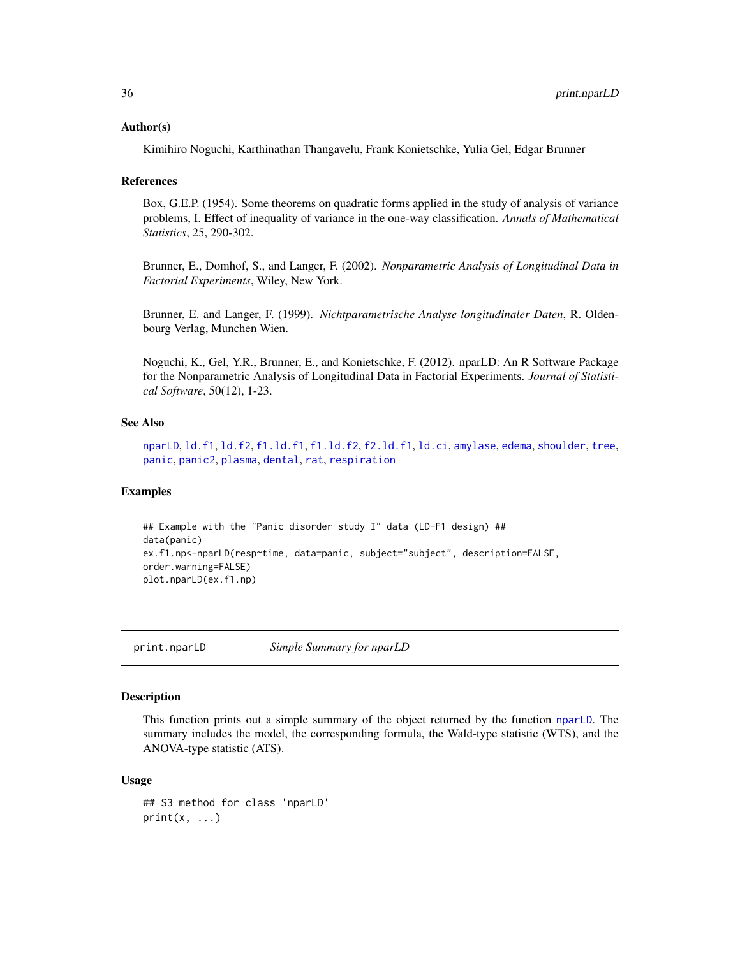#### <span id="page-35-0"></span>Author(s)

Kimihiro Noguchi, Karthinathan Thangavelu, Frank Konietschke, Yulia Gel, Edgar Brunner

#### References

Box, G.E.P. (1954). Some theorems on quadratic forms applied in the study of analysis of variance problems, I. Effect of inequality of variance in the one-way classification. *Annals of Mathematical Statistics*, 25, 290-302.

Brunner, E., Domhof, S., and Langer, F. (2002). *Nonparametric Analysis of Longitudinal Data in Factorial Experiments*, Wiley, New York.

Brunner, E. and Langer, F. (1999). *Nichtparametrische Analyse longitudinaler Daten*, R. Oldenbourg Verlag, Munchen Wien.

Noguchi, K., Gel, Y.R., Brunner, E., and Konietschke, F. (2012). nparLD: An R Software Package for the Nonparametric Analysis of Longitudinal Data in Factorial Experiments. *Journal of Statistical Software*, 50(12), 1-23.

#### See Also

[nparLD](#page-23-1), [ld.f1](#page-18-1), [ld.f2](#page-21-1), [f1.ld.f1](#page-6-1), [f1.ld.f2](#page-9-1), [f2.ld.f1](#page-12-1), [ld.ci](#page-16-1), [amylase](#page-1-1), [edema](#page-4-1), [shoulder](#page-42-1), [tree](#page-46-1), [panic](#page-29-1), [panic2](#page-30-1), [plasma](#page-32-1), [dental](#page-2-1), [rat](#page-37-1), [respiration](#page-39-1)

## Examples

```
## Example with the "Panic disorder study I" data (LD-F1 design) ##
data(panic)
ex.f1.np<-nparLD(resp~time, data=panic, subject="subject", description=FALSE,
order.warning=FALSE)
plot.nparLD(ex.f1.np)
```
print.nparLD *Simple Summary for nparLD*

## <span id="page-35-1"></span>**Description**

This function prints out a simple summary of the object returned by the function [nparLD](#page-23-1). The summary includes the model, the corresponding formula, the Wald-type statistic (WTS), and the ANOVA-type statistic (ATS).

#### Usage

```
## S3 method for class 'nparLD'
print(x, \ldots)
```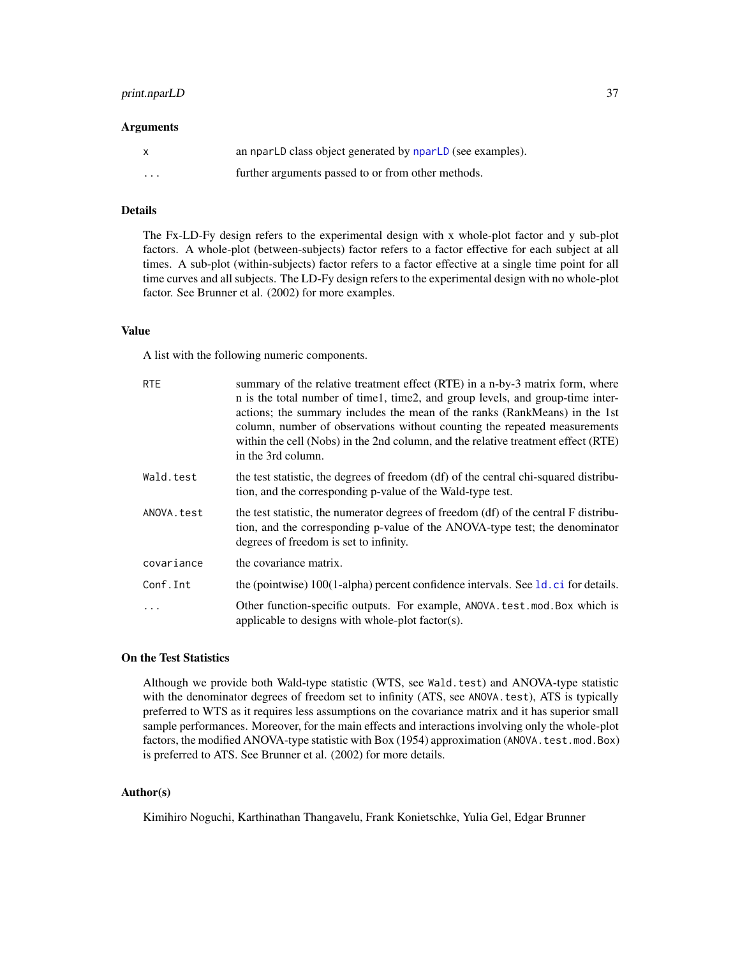## print.nparLD 37

#### **Arguments**

|          | an nearLD class object generated by nearLD (see examples). |
|----------|------------------------------------------------------------|
| $\cdots$ | further arguments passed to or from other methods.         |

## Details

The Fx-LD-Fy design refers to the experimental design with x whole-plot factor and y sub-plot factors. A whole-plot (between-subjects) factor refers to a factor effective for each subject at all times. A sub-plot (within-subjects) factor refers to a factor effective at a single time point for all time curves and all subjects. The LD-Fy design refers to the experimental design with no whole-plot factor. See Brunner et al. (2002) for more examples.

#### Value

A list with the following numeric components.

| <b>RTE</b> | summary of the relative treatment effect (RTE) in a n-by-3 matrix form, where<br>n is the total number of time1, time2, and group levels, and group-time inter-<br>actions; the summary includes the mean of the ranks (RankMeans) in the 1st<br>column, number of observations without counting the repeated measurements<br>within the cell (Nobs) in the 2nd column, and the relative treatment effect (RTE)<br>in the 3rd column. |
|------------|---------------------------------------------------------------------------------------------------------------------------------------------------------------------------------------------------------------------------------------------------------------------------------------------------------------------------------------------------------------------------------------------------------------------------------------|
| Wald.test  | the test statistic, the degrees of freedom (df) of the central chi-squared distribu-<br>tion, and the corresponding p-value of the Wald-type test.                                                                                                                                                                                                                                                                                    |
| ANOVA.test | the test statistic, the numerator degrees of freedom (df) of the central F distribu-<br>tion, and the corresponding p-value of the ANOVA-type test; the denominator<br>degrees of freedom is set to infinity.                                                                                                                                                                                                                         |
| covariance | the covariance matrix.                                                                                                                                                                                                                                                                                                                                                                                                                |
| Conf.Int   | the (pointwise) $100(1$ -alpha) percent confidence intervals. See 1d c i for details.                                                                                                                                                                                                                                                                                                                                                 |
| .          | Other function-specific outputs. For example, ANOVA. test. mod. Box which is<br>applicable to designs with whole-plot factor(s).                                                                                                                                                                                                                                                                                                      |

## On the Test Statistics

Although we provide both Wald-type statistic (WTS, see Wald.test) and ANOVA-type statistic with the denominator degrees of freedom set to infinity (ATS, see ANOVA.test), ATS is typically preferred to WTS as it requires less assumptions on the covariance matrix and it has superior small sample performances. Moreover, for the main effects and interactions involving only the whole-plot factors, the modified ANOVA-type statistic with Box (1954) approximation (ANOVA. test. mod. Box) is preferred to ATS. See Brunner et al. (2002) for more details.

## Author(s)

Kimihiro Noguchi, Karthinathan Thangavelu, Frank Konietschke, Yulia Gel, Edgar Brunner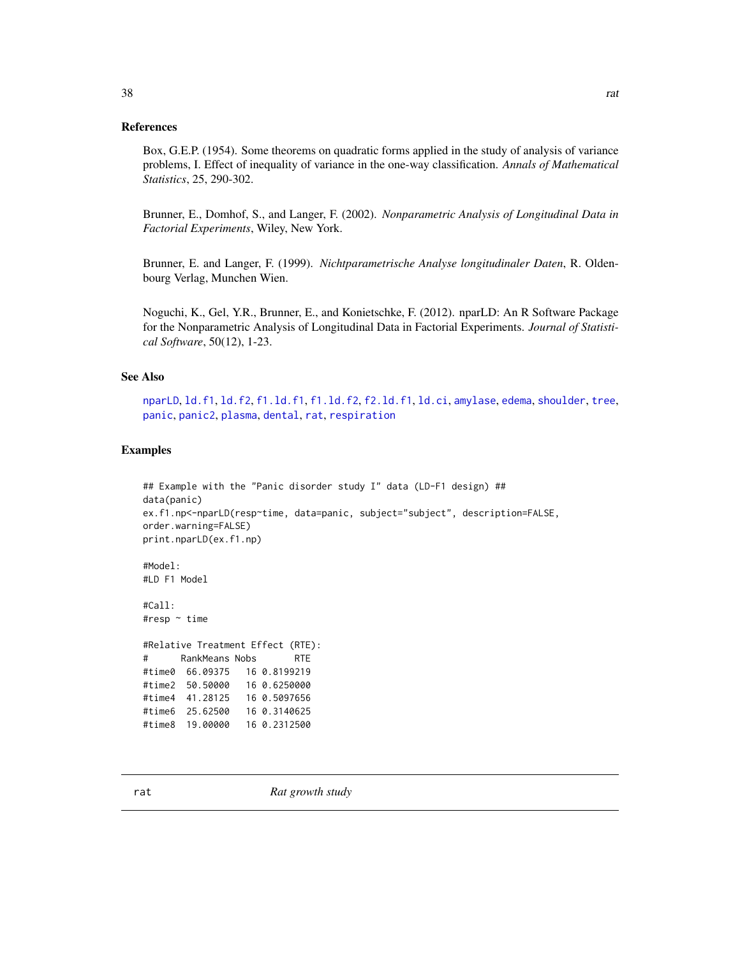#### <span id="page-37-0"></span>References

Box, G.E.P. (1954). Some theorems on quadratic forms applied in the study of analysis of variance problems, I. Effect of inequality of variance in the one-way classification. *Annals of Mathematical Statistics*, 25, 290-302.

Brunner, E., Domhof, S., and Langer, F. (2002). *Nonparametric Analysis of Longitudinal Data in Factorial Experiments*, Wiley, New York.

Brunner, E. and Langer, F. (1999). *Nichtparametrische Analyse longitudinaler Daten*, R. Oldenbourg Verlag, Munchen Wien.

Noguchi, K., Gel, Y.R., Brunner, E., and Konietschke, F. (2012). nparLD: An R Software Package for the Nonparametric Analysis of Longitudinal Data in Factorial Experiments. *Journal of Statistical Software*, 50(12), 1-23.

## See Also

[nparLD](#page-23-1), [ld.f1](#page-18-1), [ld.f2](#page-21-1), [f1.ld.f1](#page-6-1), [f1.ld.f2](#page-9-1), [f2.ld.f1](#page-12-1), [ld.ci](#page-16-1), [amylase](#page-1-1), [edema](#page-4-1), [shoulder](#page-42-1), [tree](#page-46-1), [panic](#page-29-1), [panic2](#page-30-1), [plasma](#page-32-1), [dental](#page-2-1), [rat](#page-37-1), [respiration](#page-39-1)

```
## Example with the "Panic disorder study I" data (LD-F1 design) ##
data(panic)
ex.f1.np<-nparLD(resp~time, data=panic, subject="subject", description=FALSE,
order.warning=FALSE)
print.nparLD(ex.f1.np)
#Model:
#LD F1 Model
#Call:
#resp ~ time
#Relative Treatment Effect (RTE):
# RankMeans Nobs RTE
#time0 66.09375 16 0.8199219
#time2 50.50000 16 0.6250000
#time4 41.28125 16 0.5097656
#time6 25.62500 16 0.3140625
#time8 19.00000 16 0.2312500
```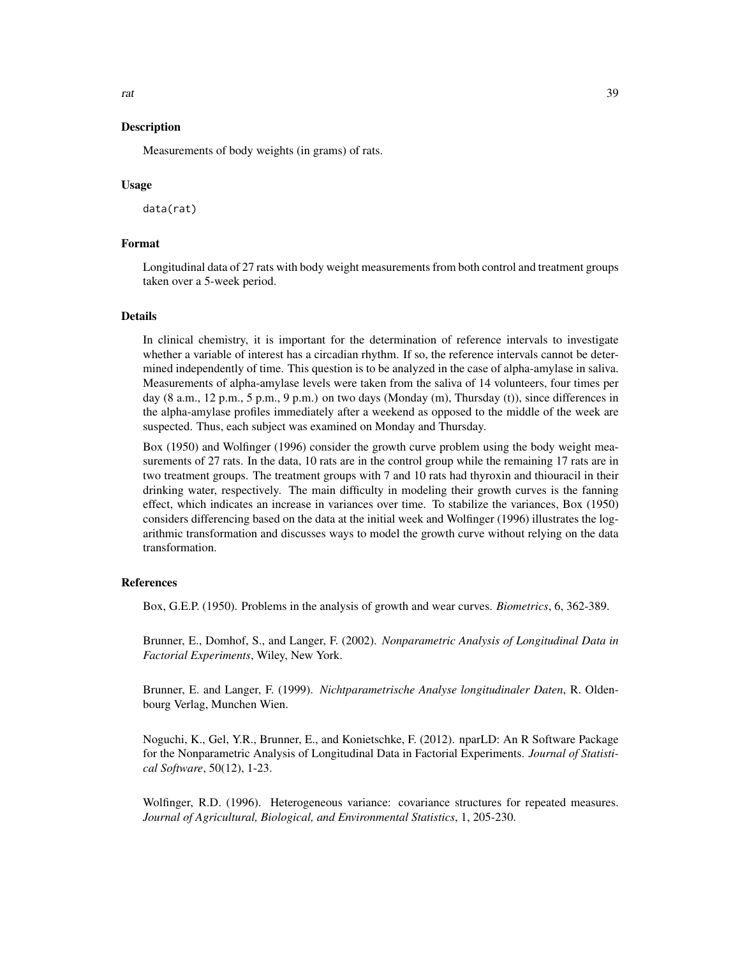## Description

Measurements of body weights (in grams) of rats.

#### Usage

data(rat)

## Format

Longitudinal data of 27 rats with body weight measurements from both control and treatment groups taken over a 5-week period.

#### Details

In clinical chemistry, it is important for the determination of reference intervals to investigate whether a variable of interest has a circadian rhythm. If so, the reference intervals cannot be determined independently of time. This question is to be analyzed in the case of alpha-amylase in saliva. Measurements of alpha-amylase levels were taken from the saliva of 14 volunteers, four times per day (8 a.m., 12 p.m., 5 p.m., 9 p.m.) on two days (Monday (m), Thursday (t)), since differences in the alpha-amylase profiles immediately after a weekend as opposed to the middle of the week are suspected. Thus, each subject was examined on Monday and Thursday.

Box (1950) and Wolfinger (1996) consider the growth curve problem using the body weight measurements of 27 rats. In the data, 10 rats are in the control group while the remaining 17 rats are in two treatment groups. The treatment groups with 7 and 10 rats had thyroxin and thiouracil in their drinking water, respectively. The main difficulty in modeling their growth curves is the fanning effect, which indicates an increase in variances over time. To stabilize the variances, Box (1950) considers differencing based on the data at the initial week and Wolfinger (1996) illustrates the logarithmic transformation and discusses ways to model the growth curve without relying on the data transformation.

#### References

Box, G.E.P. (1950). Problems in the analysis of growth and wear curves. *Biometrics*, 6, 362-389.

Brunner, E., Domhof, S., and Langer, F. (2002). *Nonparametric Analysis of Longitudinal Data in Factorial Experiments*, Wiley, New York.

Brunner, E. and Langer, F. (1999). *Nichtparametrische Analyse longitudinaler Daten*, R. Oldenbourg Verlag, Munchen Wien.

Noguchi, K., Gel, Y.R., Brunner, E., and Konietschke, F. (2012). nparLD: An R Software Package for the Nonparametric Analysis of Longitudinal Data in Factorial Experiments. *Journal of Statistical Software*, 50(12), 1-23.

Wolfinger, R.D. (1996). Heterogeneous variance: covariance structures for repeated measures. *Journal of Agricultural, Biological, and Environmental Statistics*, 1, 205-230.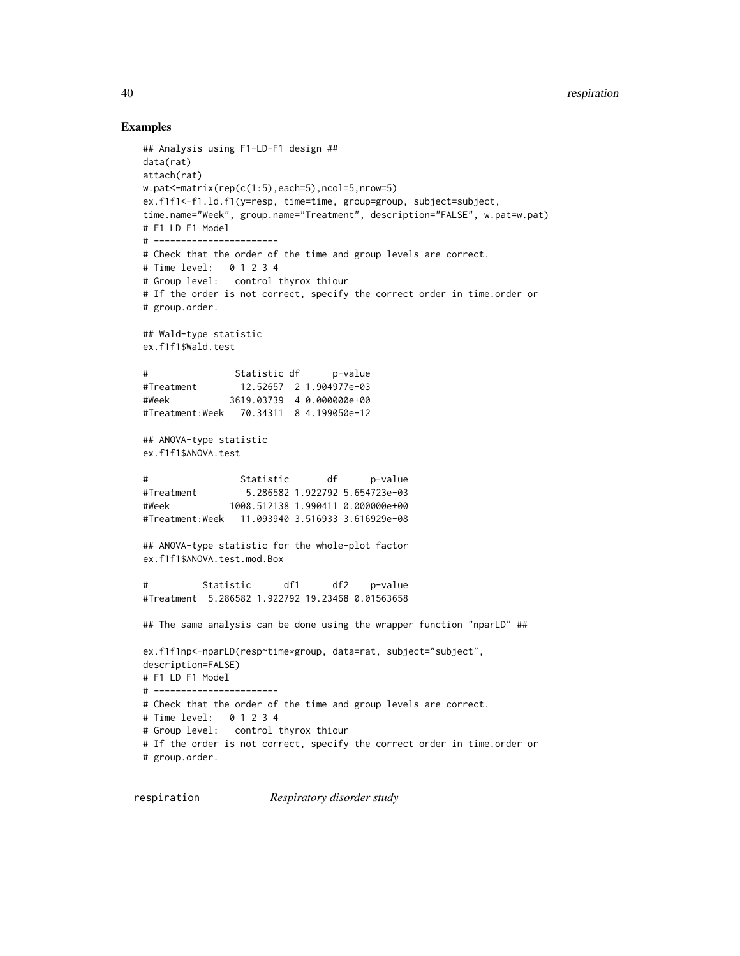#### Examples

```
## Analysis using F1-LD-F1 design ##
data(rat)
attach(rat)
w.pat<-matrix(rep(c(1:5),each=5),ncol=5,nrow=5)
ex.f1f1<-f1.ld.f1(y=resp, time=time, group=group, subject=subject,
time.name="Week", group.name="Treatment", description="FALSE", w.pat=w.pat)
# F1 LD F1 Model
# -----------------------
# Check that the order of the time and group levels are correct.
# Time level: 0 1 2 3 4
# Group level: control thyrox thiour
# If the order is not correct, specify the correct order in time.order or
# group.order.
## Wald-type statistic
ex.f1f1$Wald.test
# Statistic df p-value
#Treatment 12.52657 2 1.904977e-03
#Week 3619.03739 4 0.000000e+00
#Treatment:Week 70.34311 8 4.199050e-12
## ANOVA-type statistic
ex.f1f1$ANOVA.test
# Statistic df p-value
#Treatment 5.286582 1.922792 5.654723e-03
#Week 1008.512138 1.990411 0.000000e+00
#Treatment:Week 11.093940 3.516933 3.616929e-08
## ANOVA-type statistic for the whole-plot factor
ex.f1f1$ANOVA.test.mod.Box
# Statistic df1 df2 p-value
#Treatment 5.286582 1.922792 19.23468 0.01563658
## The same analysis can be done using the wrapper function "nparLD" ##
ex.f1f1np<-nparLD(resp~time*group, data=rat, subject="subject",
description=FALSE)
# F1 LD F1 Model
# -----------------------
# Check that the order of the time and group levels are correct.
# Time level: 0 1 2 3 4
# Group level: control thyrox thiour
# If the order is not correct, specify the correct order in time.order or
# group.order.
```
<span id="page-39-1"></span>respiration *Respiratory disorder study*

<span id="page-39-0"></span>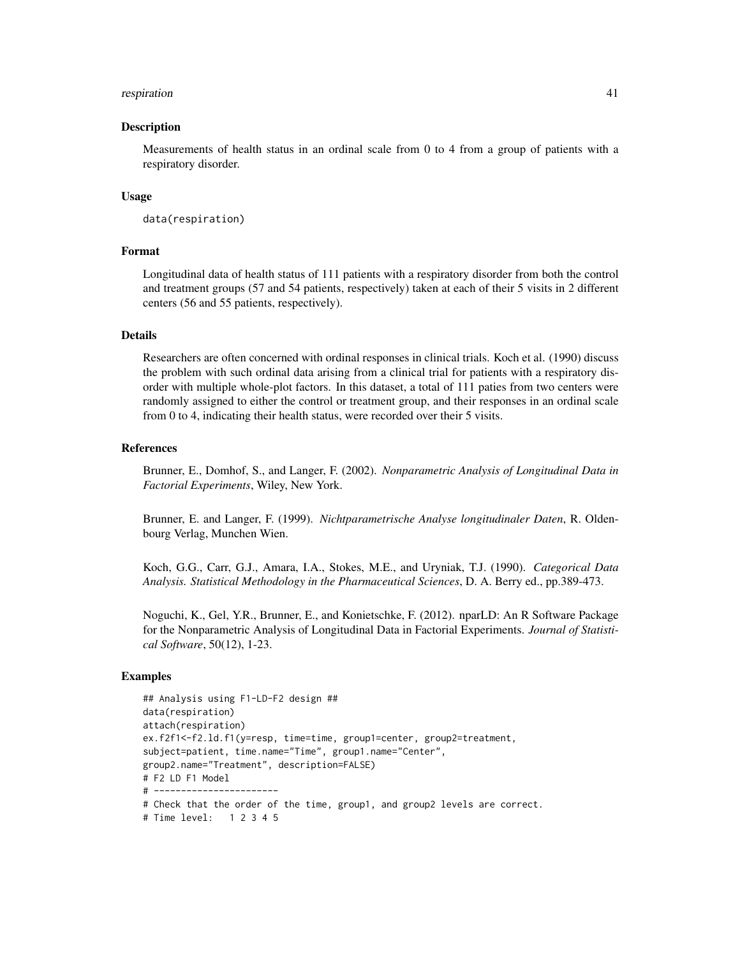#### respiration and the set of the set of the set of the set of the set of the set of the set of the set of the set of the set of the set of the set of the set of the set of the set of the set of the set of the set of the set

#### Description

Measurements of health status in an ordinal scale from 0 to 4 from a group of patients with a respiratory disorder.

#### Usage

```
data(respiration)
```
#### Format

Longitudinal data of health status of 111 patients with a respiratory disorder from both the control and treatment groups (57 and 54 patients, respectively) taken at each of their 5 visits in 2 different centers (56 and 55 patients, respectively).

#### Details

Researchers are often concerned with ordinal responses in clinical trials. Koch et al. (1990) discuss the problem with such ordinal data arising from a clinical trial for patients with a respiratory disorder with multiple whole-plot factors. In this dataset, a total of 111 paties from two centers were randomly assigned to either the control or treatment group, and their responses in an ordinal scale from 0 to 4, indicating their health status, were recorded over their 5 visits.

#### References

Brunner, E., Domhof, S., and Langer, F. (2002). *Nonparametric Analysis of Longitudinal Data in Factorial Experiments*, Wiley, New York.

Brunner, E. and Langer, F. (1999). *Nichtparametrische Analyse longitudinaler Daten*, R. Oldenbourg Verlag, Munchen Wien.

Koch, G.G., Carr, G.J., Amara, I.A., Stokes, M.E., and Uryniak, T.J. (1990). *Categorical Data Analysis. Statistical Methodology in the Pharmaceutical Sciences*, D. A. Berry ed., pp.389-473.

Noguchi, K., Gel, Y.R., Brunner, E., and Konietschke, F. (2012). nparLD: An R Software Package for the Nonparametric Analysis of Longitudinal Data in Factorial Experiments. *Journal of Statistical Software*, 50(12), 1-23.

```
## Analysis using F1-LD-F2 design ##
data(respiration)
attach(respiration)
ex.f2f1<-f2.ld.f1(y=resp, time=time, group1=center, group2=treatment,
subject=patient, time.name="Time", group1.name="Center",
group2.name="Treatment", description=FALSE)
# F2 LD F1 Model
# -----------------------
# Check that the order of the time, group1, and group2 levels are correct.
# Time level: 1 2 3 4 5
```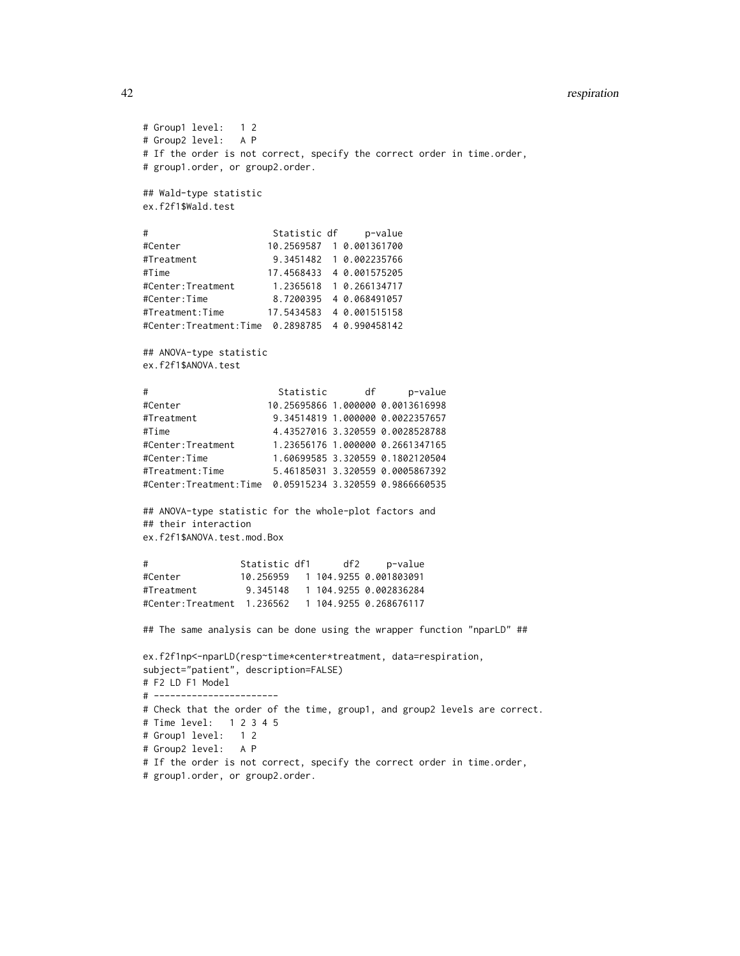```
# Group1 level: 1 2
# Group2 level: A P
# If the order is not correct, specify the correct order in time.order,
# group1.order, or group2.order.
## Wald-type statistic
ex.f2f1$Wald.test
# Statistic df p-value
#Center 10.2569587 1 0.001361700
#Treatment 9.3451482 1 0.002235766
#Time 17.4568433 4 0.001575205
#Center:Treatment 1.2365618 1 0.266134717
#Center:Time 8.7200395 4 0.068491057
#Treatment:Time 17.5434583 4 0.001515158
#Center:Treatment:Time 0.2898785 4 0.990458142
## ANOVA-type statistic
ex.f2f1$ANOVA.test
# Statistic df p-value
#Center 10.25695866 1.000000 0.0013616998
#Treatment 9.34514819 1.000000 0.0022357657
#Time 4.43527016 3.320559 0.0028528788
#Center:Treatment 1.23656176 1.000000 0.2661347165
#Center:Time 1.60699585 3.320559 0.1802120504
#Treatment:Time 5.46185031 3.320559 0.0005867392
#Center:Treatment:Time 0.05915234 3.320559 0.9866660535
## ANOVA-type statistic for the whole-plot factors and
## their interaction
ex.f2f1$ANOVA.test.mod.Box
# Statistic df1 df2 p-value
#Center 10.256959 1 104.9255 0.001803091
#Treatment 9.345148 1 104.9255 0.002836284
#Center:Treatment 1.236562 1 104.9255 0.268676117
## The same analysis can be done using the wrapper function "nparLD" ##
ex.f2f1np<-nparLD(resp~time*center*treatment, data=respiration,
subject="patient", description=FALSE)
# F2 LD F1 Model
# -----------------------
# Check that the order of the time, group1, and group2 levels are correct.
# Time level: 1 2 3 4 5
# Group1 level: 1 2
# Group2 level: A P
# If the order is not correct, specify the correct order in time.order,
# group1.order, or group2.order.
```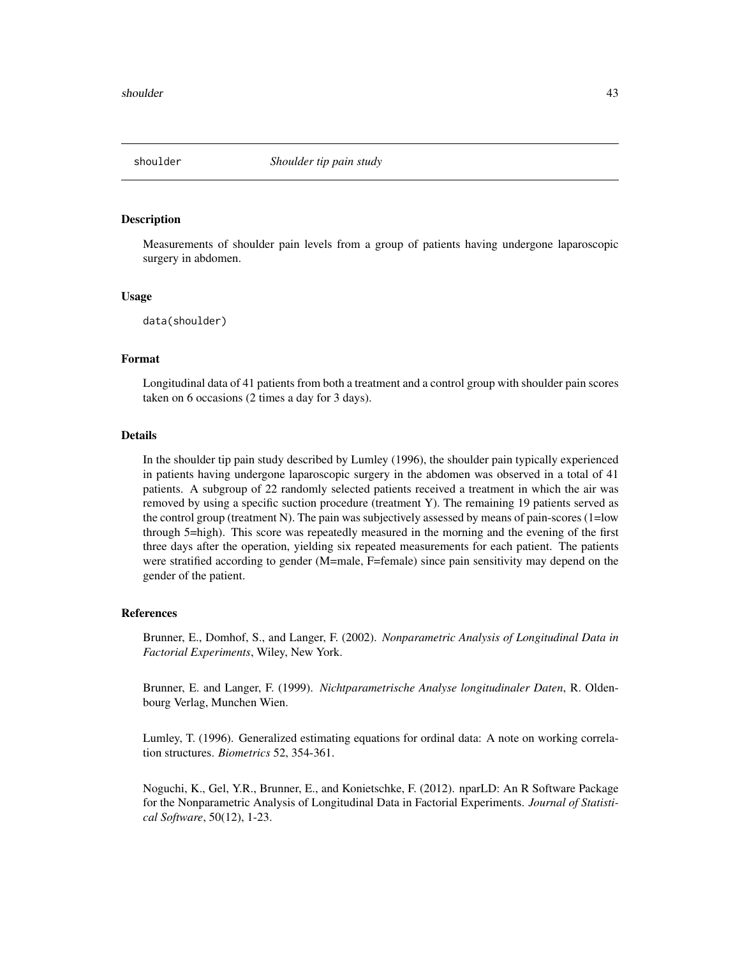<span id="page-42-1"></span><span id="page-42-0"></span>

## Description

Measurements of shoulder pain levels from a group of patients having undergone laparoscopic surgery in abdomen.

#### Usage

data(shoulder)

#### Format

Longitudinal data of 41 patients from both a treatment and a control group with shoulder pain scores taken on 6 occasions (2 times a day for 3 days).

#### Details

In the shoulder tip pain study described by Lumley (1996), the shoulder pain typically experienced in patients having undergone laparoscopic surgery in the abdomen was observed in a total of 41 patients. A subgroup of 22 randomly selected patients received a treatment in which the air was removed by using a specific suction procedure (treatment Y). The remaining 19 patients served as the control group (treatment N). The pain was subjectively assessed by means of pain-scores (1=low through 5=high). This score was repeatedly measured in the morning and the evening of the first three days after the operation, yielding six repeated measurements for each patient. The patients were stratified according to gender (M=male, F=female) since pain sensitivity may depend on the gender of the patient.

#### References

Brunner, E., Domhof, S., and Langer, F. (2002). *Nonparametric Analysis of Longitudinal Data in Factorial Experiments*, Wiley, New York.

Brunner, E. and Langer, F. (1999). *Nichtparametrische Analyse longitudinaler Daten*, R. Oldenbourg Verlag, Munchen Wien.

Lumley, T. (1996). Generalized estimating equations for ordinal data: A note on working correlation structures. *Biometrics* 52, 354-361.

Noguchi, K., Gel, Y.R., Brunner, E., and Konietschke, F. (2012). nparLD: An R Software Package for the Nonparametric Analysis of Longitudinal Data in Factorial Experiments. *Journal of Statistical Software*, 50(12), 1-23.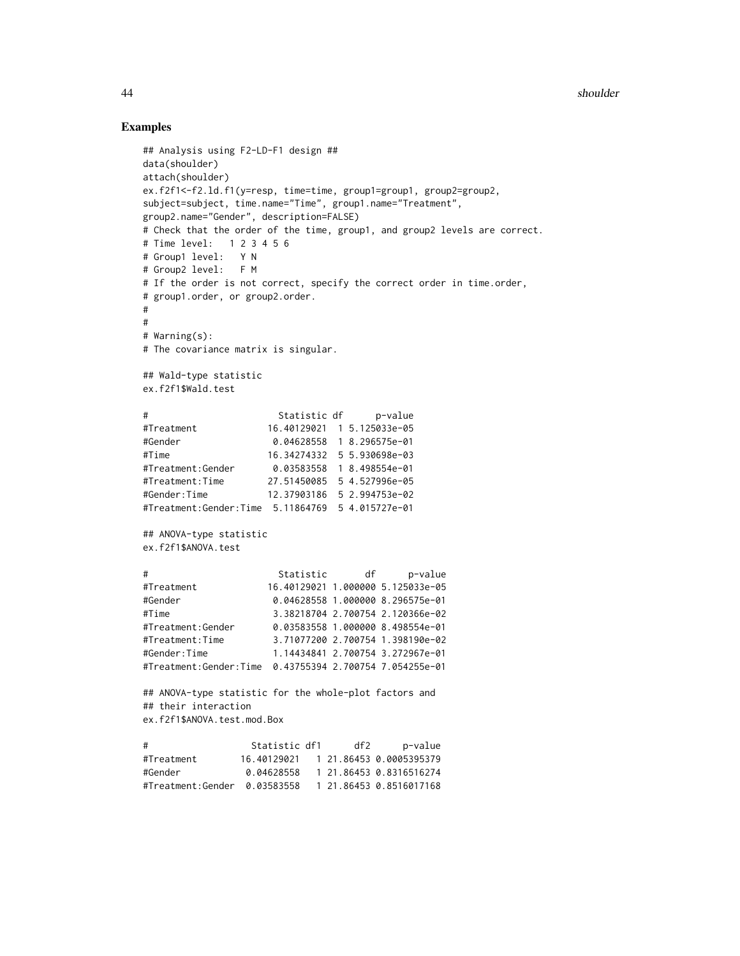```
## Analysis using F2-LD-F1 design ##
data(shoulder)
attach(shoulder)
ex.f2f1<-f2.ld.f1(y=resp, time=time, group1=group1, group2=group2,
subject=subject, time.name="Time", group1.name="Treatment",
group2.name="Gender", description=FALSE)
# Check that the order of the time, group1, and group2 levels are correct.
# Time level: 1 2 3 4 5 6
# Group1 level: Y N
# Group2 level: F M
# If the order is not correct, specify the correct order in time.order,
# group1.order, or group2.order.
#
#
# Warning(s):
# The covariance matrix is singular.
## Wald-type statistic
ex.f2f1$Wald.test
# Statistic df p-value
#Treatment 16.40129021 1 5.125033e-05
#Gender 0.04628558 1 8.296575e-01
#Time 16.34274332 5 5.930698e-03
#Treatment:Gender 0.03583558 1 8.498554e-01
#Treatment:Time 27.51450085 5 4.527996e-05
#Gender:Time 12.37903186 5 2.994753e-02
#Treatment:Gender:Time 5.11864769 5 4.015727e-01
## ANOVA-type statistic
ex.f2f1$ANOVA.test
# Statistic df p-value
#Treatment 16.40129021 1.000000 5.125033e-05
#Gender 0.04628558 1.000000 8.296575e-01
#Time 3.38218704 2.700754 2.120366e-02
#Treatment:Gender 0.03583558 1.000000 8.498554e-01
#Treatment:Time 3.71077200 2.700754 1.398190e-02
#Gender:Time 1.14434841 2.700754 3.272967e-01
#Treatment:Gender:Time 0.43755394 2.700754 7.054255e-01
## ANOVA-type statistic for the whole-plot factors and
## their interaction
ex.f2f1$ANOVA.test.mod.Box
# Statistic df1 df2 p-value
#Treatment 16.40129021 1 21.86453 0.0005395379
#Gender 0.04628558 1 21.86453 0.8316516274
#Treatment:Gender 0.03583558 1 21.86453 0.8516017168
```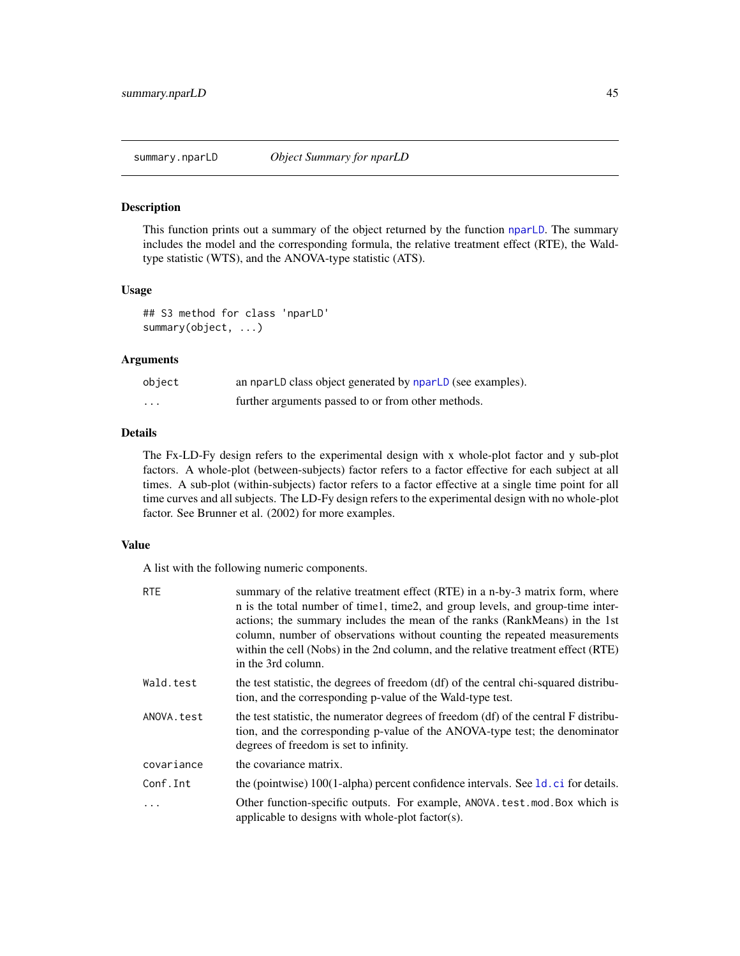<span id="page-44-0"></span>

#### <span id="page-44-1"></span>Description

This function prints out a summary of the object returned by the function [nparLD](#page-23-1). The summary includes the model and the corresponding formula, the relative treatment effect (RTE), the Waldtype statistic (WTS), and the ANOVA-type statistic (ATS).

#### Usage

```
## S3 method for class 'nparLD'
summary(object, ...)
```
#### Arguments

| object   | an nparLD class object generated by nparLD (see examples). |
|----------|------------------------------------------------------------|
| $\cdots$ | further arguments passed to or from other methods.         |

## Details

The Fx-LD-Fy design refers to the experimental design with x whole-plot factor and y sub-plot factors. A whole-plot (between-subjects) factor refers to a factor effective for each subject at all times. A sub-plot (within-subjects) factor refers to a factor effective at a single time point for all time curves and all subjects. The LD-Fy design refers to the experimental design with no whole-plot factor. See Brunner et al. (2002) for more examples.

## Value

A list with the following numeric components.

| <b>RTE</b> | summary of the relative treatment effect (RTE) in a n-by-3 matrix form, where<br>n is the total number of time1, time2, and group levels, and group-time inter-<br>actions; the summary includes the mean of the ranks (RankMeans) in the 1st<br>column, number of observations without counting the repeated measurements<br>within the cell (Nobs) in the 2nd column, and the relative treatment effect (RTE)<br>in the 3rd column. |
|------------|---------------------------------------------------------------------------------------------------------------------------------------------------------------------------------------------------------------------------------------------------------------------------------------------------------------------------------------------------------------------------------------------------------------------------------------|
| Wald.test  | the test statistic, the degrees of freedom (df) of the central chi-squared distribu-<br>tion, and the corresponding p-value of the Wald-type test.                                                                                                                                                                                                                                                                                    |
| ANOVA.test | the test statistic, the numerator degrees of freedom (df) of the central F distribu-<br>tion, and the corresponding p-value of the ANOVA-type test; the denominator<br>degrees of freedom is set to infinity.                                                                                                                                                                                                                         |
| covariance | the covariance matrix.                                                                                                                                                                                                                                                                                                                                                                                                                |
| Conf.Int   | the (pointwise) 100(1-alpha) percent confidence intervals. See 1d. ci for details.                                                                                                                                                                                                                                                                                                                                                    |
|            | Other function-specific outputs. For example, ANOVA.test.mod.Box which is<br>applicable to designs with whole-plot factor(s).                                                                                                                                                                                                                                                                                                         |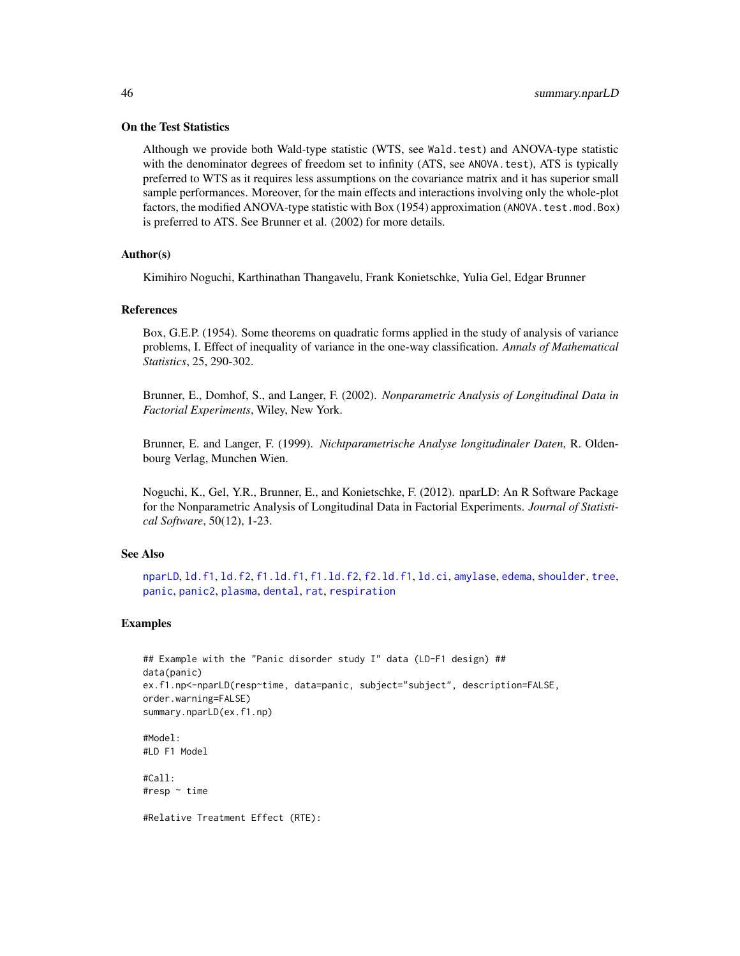#### <span id="page-45-0"></span>On the Test Statistics

Although we provide both Wald-type statistic (WTS, see Wald.test) and ANOVA-type statistic with the denominator degrees of freedom set to infinity (ATS, see ANOVA.test), ATS is typically preferred to WTS as it requires less assumptions on the covariance matrix and it has superior small sample performances. Moreover, for the main effects and interactions involving only the whole-plot factors, the modified ANOVA-type statistic with Box (1954) approximation (ANOVA, test. mod. Box) is preferred to ATS. See Brunner et al. (2002) for more details.

#### Author(s)

Kimihiro Noguchi, Karthinathan Thangavelu, Frank Konietschke, Yulia Gel, Edgar Brunner

#### References

Box, G.E.P. (1954). Some theorems on quadratic forms applied in the study of analysis of variance problems, I. Effect of inequality of variance in the one-way classification. *Annals of Mathematical Statistics*, 25, 290-302.

Brunner, E., Domhof, S., and Langer, F. (2002). *Nonparametric Analysis of Longitudinal Data in Factorial Experiments*, Wiley, New York.

Brunner, E. and Langer, F. (1999). *Nichtparametrische Analyse longitudinaler Daten*, R. Oldenbourg Verlag, Munchen Wien.

Noguchi, K., Gel, Y.R., Brunner, E., and Konietschke, F. (2012). nparLD: An R Software Package for the Nonparametric Analysis of Longitudinal Data in Factorial Experiments. *Journal of Statistical Software*, 50(12), 1-23.

#### See Also

```
nparLD, ld.f1, ld.f2, f1.ld.f1, f1.ld.f2, f2.ld.f1, ld.ci, amylase, edema, shoulder, tree,
panic, panic2, plasma, dental, rat, respiration
```

```
## Example with the "Panic disorder study I" data (LD-F1 design) ##
data(panic)
ex.f1.np<-nparLD(resp~time, data=panic, subject="subject", description=FALSE,
order.warning=FALSE)
summary.nparLD(ex.f1.np)
#Model:
#LD F1 Model
#Call:
#resp ~ time
#Relative Treatment Effect (RTE):
```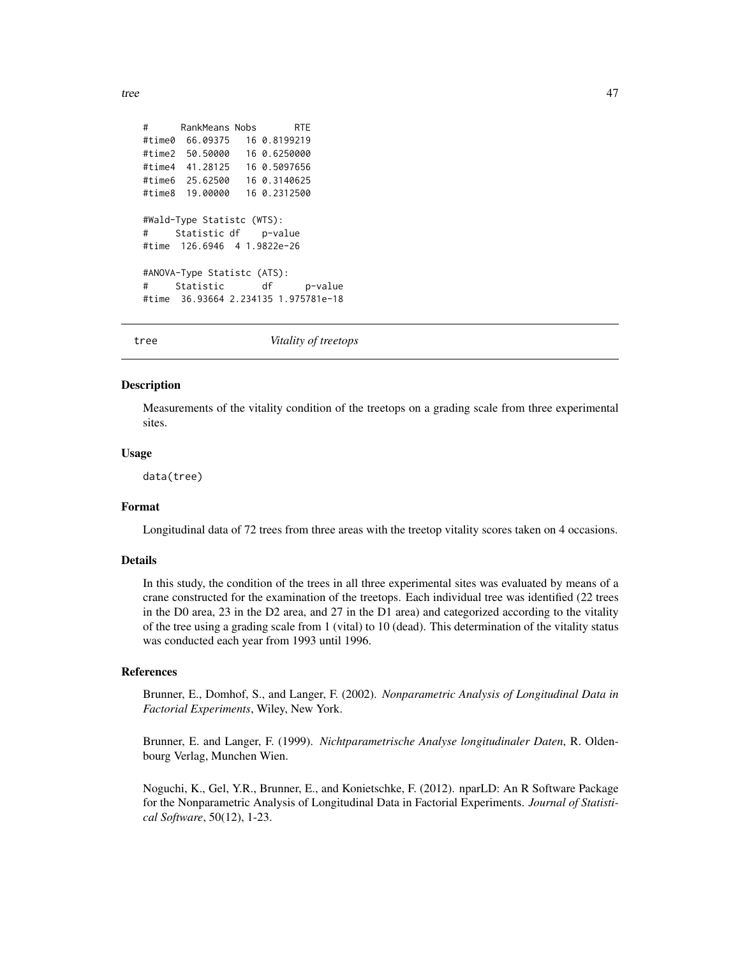<span id="page-46-0"></span>tree and the state of the state of the state of the state of the state of the state of the state of the state of the state of the state of the state of the state of the state of the state of the state of the state of the s

```
# RankMeans Nobs RTE
#time0 66.09375 16 0.8199219
#time2 50.50000 16 0.6250000
#time4 41.28125 16 0.5097656
#time6 25.62500 16 0.3140625
#time8 19.00000 16 0.2312500
#Wald-Type Statistc (WTS):
# Statistic df p-value
#time 126.6946 4 1.9822e-26
#ANOVA-Type Statistc (ATS):
# Statistic df p-value
#time 36.93664 2.234135 1.975781e-18
```
<span id="page-46-1"></span>

tree *Vitality of treetops*

#### Description

Measurements of the vitality condition of the treetops on a grading scale from three experimental sites.

#### Usage

data(tree)

## Format

Longitudinal data of 72 trees from three areas with the treetop vitality scores taken on 4 occasions.

#### Details

In this study, the condition of the trees in all three experimental sites was evaluated by means of a crane constructed for the examination of the treetops. Each individual tree was identified (22 trees in the D0 area, 23 in the D2 area, and 27 in the D1 area) and categorized according to the vitality of the tree using a grading scale from 1 (vital) to 10 (dead). This determination of the vitality status was conducted each year from 1993 until 1996.

#### References

Brunner, E., Domhof, S., and Langer, F. (2002). *Nonparametric Analysis of Longitudinal Data in Factorial Experiments*, Wiley, New York.

Brunner, E. and Langer, F. (1999). *Nichtparametrische Analyse longitudinaler Daten*, R. Oldenbourg Verlag, Munchen Wien.

Noguchi, K., Gel, Y.R., Brunner, E., and Konietschke, F. (2012). nparLD: An R Software Package for the Nonparametric Analysis of Longitudinal Data in Factorial Experiments. *Journal of Statistical Software*, 50(12), 1-23.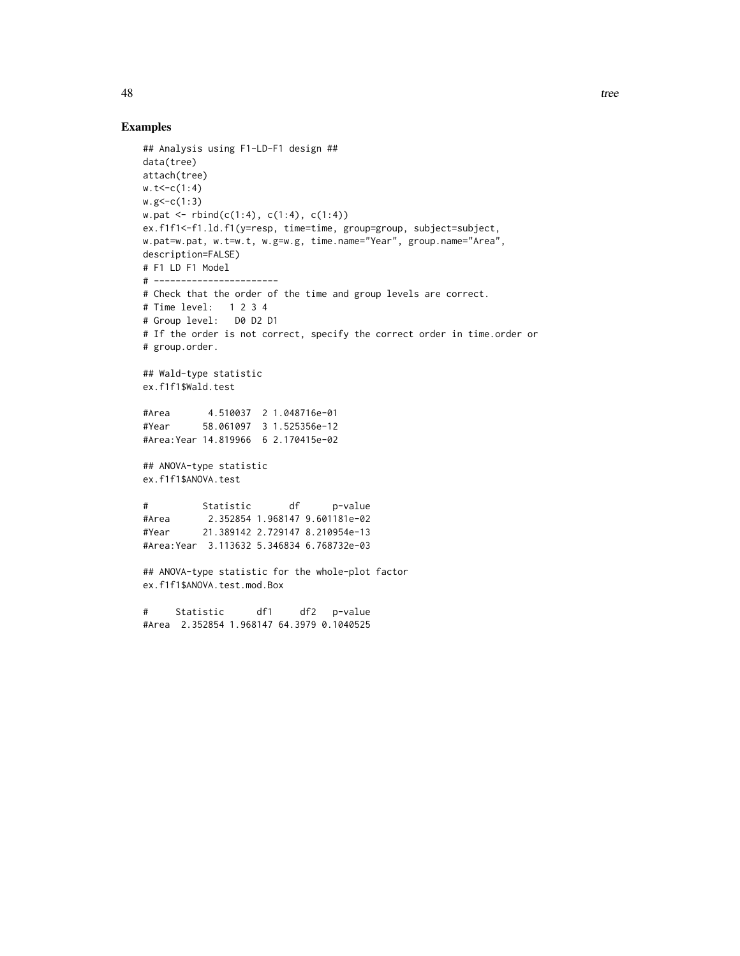```
## Analysis using F1-LD-F1 design ##
data(tree)
attach(tree)
w.t < -c(1:4)w.g < -c(1:3)w.pat <- rbind(c(1:4), c(1:4), c(1:4))ex.f1f1<-f1.ld.f1(y=resp, time=time, group=group, subject=subject,
w.pat=w.pat, w.t=w.t, w.g=w.g, time.name="Year", group.name="Area",
description=FALSE)
# F1 LD F1 Model
# -----------------------
# Check that the order of the time and group levels are correct.
# Time level: 1 2 3 4
# Group level: D0 D2 D1
# If the order is not correct, specify the correct order in time.order or
# group.order.
## Wald-type statistic
ex.f1f1$Wald.test
#Area 4.510037 2 1.048716e-01
#Year 58.061097 3 1.525356e-12
#Area:Year 14.819966 6 2.170415e-02
## ANOVA-type statistic
ex.f1f1$ANOVA.test
# Statistic df p-value
#Area 2.352854 1.968147 9.601181e-02
#Year 21.389142 2.729147 8.210954e-13
#Area:Year 3.113632 5.346834 6.768732e-03
## ANOVA-type statistic for the whole-plot factor
ex.f1f1$ANOVA.test.mod.Box
# Statistic df1 df2 p-value
#Area 2.352854 1.968147 64.3979 0.1040525
```